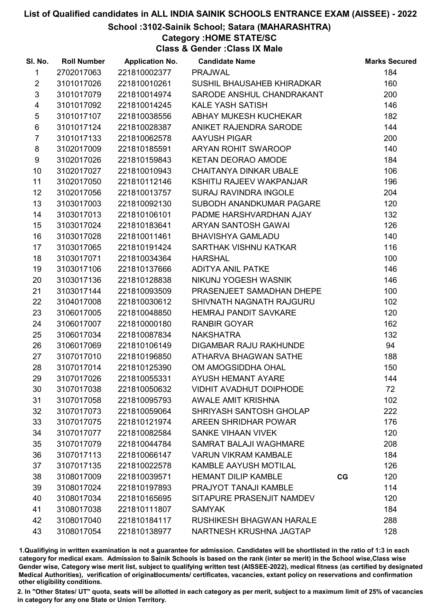# School :3102-Sainik School; Satara (MAHARASHTRA)

Category :HOME STATE/SC

Class & Gender :Class IX Male

| SI. No.                 | <b>Roll Number</b> | <b>Application No.</b> | <b>Candidate Name</b>          |             | <b>Marks Secured</b> |
|-------------------------|--------------------|------------------------|--------------------------------|-------------|----------------------|
| 1                       | 2702017063         | 221810002377           | <b>PRAJWAL</b>                 |             | 184                  |
| $\overline{2}$          | 3101017026         | 221810010261           | SUSHIL BHAUSAHEB KHIRADKAR     |             | 160                  |
| $\mathfrak{S}$          | 3101017079         | 221810014974           | SARODE ANSHUL CHANDRAKANT      |             | 200                  |
| $\overline{\mathbf{4}}$ | 3101017092         | 221810014245           | <b>KALE YASH SATISH</b>        |             | 146                  |
| $\sqrt{5}$              | 3101017107         | 221810038556           | ABHAY MUKESH KUCHEKAR          |             | 182                  |
| 6                       | 3101017124         | 221810028387           | ANIKET RAJENDRA SARODE         |             | 144                  |
| $\overline{7}$          | 3101017133         | 221810062578           | <b>AAYUSH PIGAR</b>            |             | 200                  |
| 8                       | 3102017009         | 221810185591           | ARYAN ROHIT SWAROOP            |             | 140                  |
| 9                       | 3102017026         | 221810159843           | KETAN DEORAO AMODE             |             | 184                  |
| 10                      | 3102017027         | 221810010943           | CHAITANYA DINKAR UBALE         |             | 106                  |
| 11                      | 3102017050         | 221810112146           | KSHITIJ RAJEEV WAKPANJAR       |             | 196                  |
| 12                      | 3102017056         | 221810013757           | <b>SURAJ RAVINDRA INGOLE</b>   |             | 204                  |
| 13                      | 3103017003         | 221810092130           | SUBODH ANANDKUMAR PAGARE       |             | 120                  |
| 14                      | 3103017013         | 221810106101           | PADME HARSHVARDHAN AJAY        |             | 132                  |
| 15                      | 3103017024         | 221810183641           | ARYAN SANTOSH GAWAI            |             | 126                  |
| 16                      | 3103017028         | 221810011461           | <b>BHAVISHYA GAMLADU</b>       |             | 140                  |
| 17                      | 3103017065         | 221810191424           | SARTHAK VISHNU KATKAR          |             | 116                  |
| 18                      | 3103017071         | 221810034364           | <b>HARSHAL</b>                 |             | 100                  |
| 19                      | 3103017106         | 221810137666           | <b>ADITYA ANIL PATKE</b>       |             | 146                  |
| 20                      | 3103017136         | 221810128838           | NIKUNJ YOGESH WASNIK           |             | 146                  |
| 21                      | 3103017144         | 221810093509           | PRASENJEET SAMADHAN DHEPE      |             | 100                  |
| 22                      | 3104017008         | 221810030612           | SHIVNATH NAGNATH RAJGURU       |             | 102                  |
| 23                      | 3106017005         | 221810048850           | <b>HEMRAJ PANDIT SAVKARE</b>   |             | 120                  |
| 24                      | 3106017007         | 221810000180           | <b>RANBIR GOYAR</b>            |             | 162                  |
| 25                      | 3106017034         | 221810087834           | <b>NAKSHATRA</b>               |             | 132                  |
| 26                      | 3106017069         | 221810106149           | DIGAMBAR RAJU RAKHUNDE         |             | 94                   |
| 27                      | 3107017010         | 221810196850           | ATHARVA BHAGWAN SATHE          |             | 188                  |
| 28                      | 3107017014         | 221810125390           | OM AMOGSIDDHA OHAL             |             | 150                  |
| 29                      | 3107017026         | 221810055331           | AYUSH HEMANT AYARE             |             | 144                  |
| 30                      | 3107017038         | 221810050632           | <b>VIDHIT AVADHUT DOIPHODE</b> |             | 72                   |
| 31                      | 3107017058         | 221810095793           | <b>AWALE AMIT KRISHNA</b>      |             | 102                  |
| 32                      | 3107017073         | 221810059064           | SHRIYASH SANTOSH GHOLAP        |             | 222                  |
| 33                      | 3107017075         | 221810121974           | <b>AREEN SHRIDHAR POWAR</b>    |             | 176                  |
| 34                      | 3107017077         | 221810082584           | <b>SANKE VIHAAN VIVEK</b>      |             | 120                  |
| 35                      | 3107017079         | 221810044784           | SAMRAT BALAJI WAGHMARE         |             | 208                  |
| 36                      | 3107017113         | 221810066147           | <b>VARUN VIKRAM KAMBALE</b>    |             | 184                  |
| 37                      | 3107017135         | 221810022578           | <b>KAMBLE AAYUSH MOTILAL</b>   |             | 126                  |
| 38                      | 3108017009         | 221810039571           | <b>HEMANT DILIP KAMBLE</b>     | $_{\rm CG}$ | 120                  |
| 39                      | 3108017024         | 221810197893           | PRAJYOT TANAJI KAMBLE          |             | 114                  |
| 40                      | 3108017034         | 221810165695           | SITAPURE PRASENJIT NAMDEV      |             | 120                  |
| 41                      | 3108017038         | 221810111807           | <b>SAMYAK</b>                  |             | 184                  |
| 42                      | 3108017040         | 221810184117           | RUSHIKESH BHAGWAN HARALE       |             | 288                  |
| 43                      | 3108017054         | 221810138977           | NARTNESH KRUSHNA JAGTAP        |             | 128                  |

1.Qualifiying in written examination is not a guarantee for admission. Candidates will be shortlisted in the ratio of 1:3 in each category for medical exam. Admission to Sainik Schools is based on the rank (inter se merit) in the School wise,Class wise Gender wise, Category wise merit list, subject to qualifying written test (AISSEE-2022), medical fitness (as certified by designated Medical Authorities), verification of originablocuments/ certificates, vacancies, extant policy on reservations and confirmation other eligibility conditions.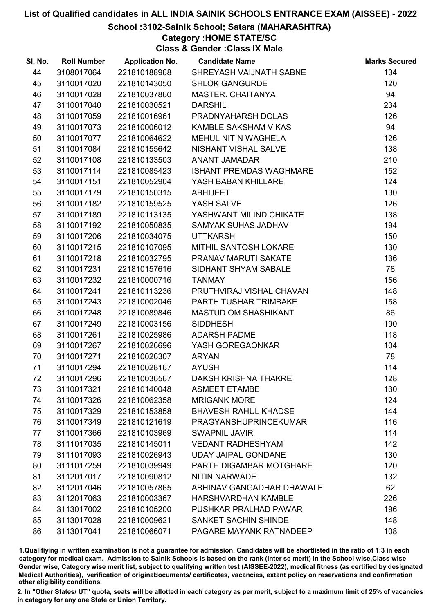# School :3102-Sainik School; Satara (MAHARASHTRA)

# Category :HOME STATE/SC

Class & Gender :Class IX Male

| SI. No. | <b>Roll Number</b> | <b>Application No.</b> | <b>Candidate Name</b>          | <b>Marks Secured</b> |
|---------|--------------------|------------------------|--------------------------------|----------------------|
| 44      | 3108017064         | 221810188968           | SHREYASH VAIJNATH SABNE        | 134                  |
| 45      | 3110017020         | 221810143050           | <b>SHLOK GANGURDE</b>          | 120                  |
| 46      | 3110017028         | 221810037860           | MASTER. CHAITANYA              | 94                   |
| 47      | 3110017040         | 221810030521           | <b>DARSHIL</b>                 | 234                  |
| 48      | 3110017059         | 221810016961           | PRADNYAHARSH DOLAS             | 126                  |
| 49      | 3110017073         | 221810006012           | <b>KAMBLE SAKSHAM VIKAS</b>    | 94                   |
| 50      | 3110017077         | 221810064622           | <b>MEHUL NITIN WAGHELA</b>     | 126                  |
| 51      | 3110017084         | 221810155642           | NISHANT VISHAL SALVE           | 138                  |
| 52      | 3110017108         | 221810133503           | <b>ANANT JAMADAR</b>           | 210                  |
| 53      | 3110017114         | 221810085423           | <b>ISHANT PREMDAS WAGHMARE</b> | 152                  |
| 54      | 3110017151         | 221810052904           | YASH BABAN KHILLARE            | 124                  |
| 55      | 3110017179         | 221810150315           | <b>ABHIJEET</b>                | 130                  |
| 56      | 3110017182         | 221810159525           | YASH SALVE                     | 126                  |
| 57      | 3110017189         | 221810113135           | YASHWANT MILIND CHIKATE        | 138                  |
| 58      | 3110017192         | 221810050835           | SAMYAK SUHAS JADHAV            | 194                  |
| 59      | 3110017206         | 221810034075           | <b>UTTKARSH</b>                | 150                  |
| 60      | 3110017215         | 221810107095           | MITHIL SANTOSH LOKARE          | 130                  |
| 61      | 3110017218         | 221810032795           | PRANAV MARUTI SAKATE           | 136                  |
| 62      | 3110017231         | 221810157616           | SIDHANT SHYAM SABALE           | 78                   |
| 63      | 3110017232         | 221810000716           | <b>TANMAY</b>                  | 156                  |
| 64      | 3110017241         | 221810113236           | PRUTHVIRAJ VISHAL CHAVAN       | 148                  |
| 65      | 3110017243         | 221810002046           | PARTH TUSHAR TRIMBAKE          | 158                  |
| 66      | 3110017248         | 221810089846           | <b>MASTUD OM SHASHIKANT</b>    | 86                   |
| 67      | 3110017249         | 221810003156           | <b>SIDDHESH</b>                | 190                  |
| 68      | 3110017261         | 221810025986           | <b>ADARSH PADME</b>            | 118                  |
| 69      | 3110017267         | 221810026696           | YASH GOREGAONKAR               | 104                  |
| 70      | 3110017271         | 221810026307           | <b>ARYAN</b>                   | 78                   |
| 71      | 3110017294         | 221810028167           | <b>AYUSH</b>                   | 114                  |
| 72      | 3110017296         | 221810036567           | <b>DAKSH KRISHNA THAKRE</b>    | 128                  |
| 73      | 3110017321         | 221810140048           | <b>ASMEET ETAMBE</b>           | 130                  |
| 74      | 3110017326         | 221810062358           | <b>MRIGANK MORE</b>            | 124                  |
| 75      | 3110017329         | 221810153858           | <b>BHAVESH RAHUL KHADSE</b>    | 144                  |
| 76      | 3110017349         | 221810121619           | <b>PRAGYANSHUPRINCEKUMAR</b>   | 116                  |
| 77      | 3110017366         | 221810103969           | <b>SWAPNIL JAVIR</b>           | 114                  |
| 78      | 3111017035         | 221810145011           | <b>VEDANT RADHESHYAM</b>       | 142                  |
| 79      | 3111017093         | 221810026943           | <b>UDAY JAIPAL GONDANE</b>     | 130                  |
| 80      | 3111017259         | 221810039949           | PARTH DIGAMBAR MOTGHARE        | 120                  |
| 81      | 3112017017         | 221810090812           | <b>NITIN NARWADE</b>           | 132                  |
| 82      | 3112017046         | 221810057865           | ABHINAV GANGADHAR DHAWALE      | 62                   |
| 83      | 3112017063         | 221810003367           | <b>HARSHVARDHAN KAMBLE</b>     | 226                  |
| 84      | 3113017002         | 221810105200           | PUSHKAR PRALHAD PAWAR          | 196                  |
| 85      | 3113017028         | 221810009621           | <b>SANKET SACHIN SHINDE</b>    | 148                  |
| 86      | 3113017041         | 221810066071           | PAGARE MAYANK RATNADEEP        | 108                  |

1.Qualifiying in written examination is not a guarantee for admission. Candidates will be shortlisted in the ratio of 1:3 in each category for medical exam. Admission to Sainik Schools is based on the rank (inter se merit) in the School wise,Class wise Gender wise, Category wise merit list, subject to qualifying written test (AISSEE-2022), medical fitness (as certified by designated Medical Authorities), verification of originablocuments/ certificates, vacancies, extant policy on reservations and confirmation other eligibility conditions.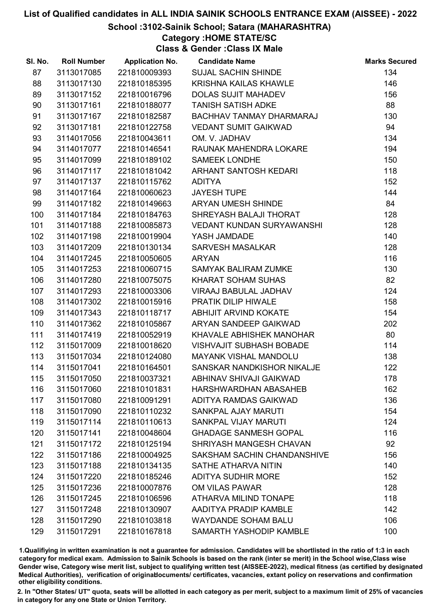# School :3102-Sainik School; Satara (MAHARASHTRA)

Category :HOME STATE/SC

Class & Gender :Class IX Male

| 87<br>3113017085<br><b>SUJAL SACHIN SHINDE</b><br>221810009393<br>88<br>3113017130<br>221810185395<br>KRISHNA KAILAS KHAWLE | 134<br>146<br>156 |
|-----------------------------------------------------------------------------------------------------------------------------|-------------------|
|                                                                                                                             |                   |
|                                                                                                                             |                   |
| 89<br>3113017152<br>221810016796<br><b>DOLAS SUJIT MAHADEV</b>                                                              |                   |
| 90<br><b>TANISH SATISH ADKE</b><br>3113017161<br>221810188077                                                               | 88                |
| 91<br>3113017167<br>221810182587<br>BACHHAV TANMAY DHARMARAJ                                                                | 130               |
| 92<br>3113017181<br>221810122758<br><b>VEDANT SUMIT GAIKWAD</b>                                                             | 94                |
| 93<br>3114017056<br>221810043611<br>OM. V. JADHAV                                                                           | 134               |
| 94<br>3114017077<br>221810146541<br>RAUNAK MAHENDRA LOKARE                                                                  | 194               |
| 95<br>3114017099<br>221810189102<br><b>SAMEEK LONDHE</b>                                                                    | 150               |
| 96<br>3114017117<br>221810181042<br>ARHANT SANTOSH KEDARI                                                                   | 118               |
| 97<br>3114017137<br>221810115762<br><b>ADITYA</b>                                                                           | 152               |
| 98<br>3114017164<br>221810060623<br><b>JAYESH TUPE</b>                                                                      | 144               |
| 99<br>3114017182<br>221810149663<br>ARYAN UMESH SHINDE                                                                      | 84                |
| 3114017184<br>221810184763<br>SHREYASH BALAJI THORAT<br>100                                                                 | 128               |
| 101<br>3114017188<br>221810085873<br>VEDANT KUNDAN SURYAWANSHI                                                              | 128               |
| 102<br>3114017198<br>221810019904<br>YASH JAMDADE                                                                           | 140               |
| 103<br>3114017209<br><b>SARVESH MASALKAR</b><br>221810130134                                                                | 128               |
| 3114017245<br>221810050605<br>104<br><b>ARYAN</b>                                                                           | 116               |
| 105<br>3114017253<br>221810060715<br>SAMYAK BALIRAM ZUMKE                                                                   | 130               |
| KHARAT SOHAM SUHAS<br>106<br>3114017280<br>221810075075                                                                     | 82                |
| 107<br>3114017293<br>221810003306<br>VIRAAJ BABULAL JADHAV                                                                  | 124               |
| 108<br>3114017302<br>221810015916<br>PRATIK DILIP HIWALE                                                                    | 158               |
| 109<br>3114017343<br>221810118717<br>ABHIJIT ARVIND KOKATE                                                                  | 154               |
| 3114017362<br>ARYAN SANDEEP GAIKWAD<br>110<br>221810105867                                                                  | 202               |
| 111<br>3114017419<br>221810052919<br>KHAVALE ABHISHEK MANOHAR                                                               | 80                |
| 3115017009<br>221810018620<br><b>VISHVAJIT SUBHASH BOBADE</b><br>112                                                        | 114               |
| 113<br>3115017034<br>221810124080<br><b>MAYANK VISHAL MANDOLU</b>                                                           | 138               |
| 3115017041<br>SANSKAR NANDKISHOR NIKALJE<br>114<br>221810164501                                                             | 122               |
| 115<br>221810037321<br>3115017050<br>ABHINAV SHIVAJI GAIKWAD                                                                | 178               |
| 3115017060<br>116<br>221810101831<br>HARSHWARDHAN ABASAHEB                                                                  | 162               |
| 117<br>3115017080<br>221810091291<br>ADITYA RAMDAS GAIKWAD                                                                  | 136               |
| 118<br>3115017090<br>221810110232<br><b>SANKPAL AJAY MARUTI</b>                                                             | 154               |
| 119<br>3115017114<br>221810110613<br>SANKPAL VIJAY MARUTI                                                                   | 124               |
| 120<br>3115017141<br>221810048604<br><b>GHADAGE SANMESH GOPAL</b>                                                           | 116               |
| 121<br>3115017172<br>221810125194<br>SHRIYASH MANGESH CHAVAN                                                                | 92                |
| 122<br>3115017186<br>221810004925<br>SAKSHAM SACHIN CHANDANSHIVE                                                            | 156               |
| 123<br>3115017188<br>221810134135<br>SATHE ATHARVA NITIN                                                                    | 140               |
| 124<br>3115017220<br>221810185246<br><b>ADITYA SUDHIR MORE</b>                                                              | 152               |
| 125<br>3115017236<br>221810007876<br>OM VILAS PAWAR                                                                         | 128               |
| <b>ATHARVA MILIND TONAPE</b><br>126<br>3115017245<br>221810106596                                                           | 118               |
| AADITYA PRADIP KAMBLE<br>127<br>3115017248<br>221810130907                                                                  | 142               |
| <b>WAYDANDE SOHAM BALU</b><br>128<br>3115017290<br>221810103818                                                             | 106               |
| 129<br>3115017291<br>221810167818<br>SAMARTH YASHODIP KAMBLE                                                                | 100               |

1.Qualifiying in written examination is not a guarantee for admission. Candidates will be shortlisted in the ratio of 1:3 in each category for medical exam. Admission to Sainik Schools is based on the rank (inter se merit) in the School wise,Class wise Gender wise, Category wise merit list, subject to qualifying written test (AISSEE-2022), medical fitness (as certified by designated Medical Authorities), verification of originablocuments/ certificates, vacancies, extant policy on reservations and confirmation other eligibility conditions.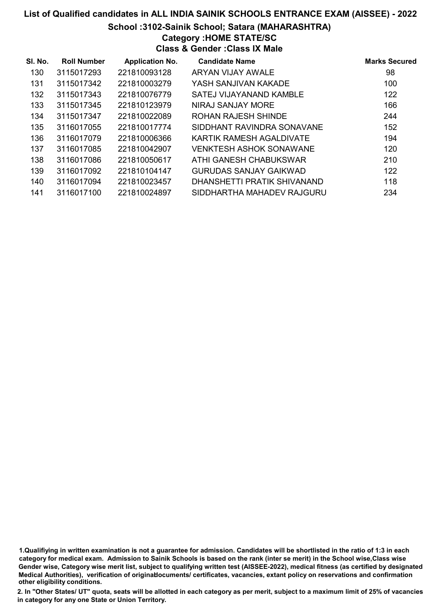#### School :3102-Sainik School; Satara (MAHARASHTRA)

Category :HOME STATE/SC

Class & Gender :Class IX Male

| SI. No. | <b>Roll Number</b> | <b>Application No.</b> | <b>Candidate Name</b>          | <b>Marks Secured</b> |
|---------|--------------------|------------------------|--------------------------------|----------------------|
| 130     | 3115017293         | 221810093128           | ARYAN VIJAY AWALE              | 98                   |
| 131     | 3115017342         | 221810003279           | YASH SANJIVAN KAKADE           | 100                  |
| 132     | 3115017343         | 221810076779           | SATEJ VIJAYANAND KAMBLE        | 122                  |
| 133     | 3115017345         | 221810123979           | NIRAJ SANJAY MORE              | 166                  |
| 134     | 3115017347         | 221810022089           | ROHAN RAJESH SHINDE            | 244                  |
| 135     | 3116017055         | 221810017774           | SIDDHANT RAVINDRA SONAVANE     | 152                  |
| 136     | 3116017079         | 221810006366           | KARTIK RAMESH AGALDIVATE       | 194                  |
| 137     | 3116017085         | 221810042907           | <b>VENKTESH ASHOK SONAWANE</b> | 120                  |
| 138     | 3116017086         | 221810050617           | ATHI GANESH CHABUKSWAR         | 210                  |
| 139     | 3116017092         | 221810104147           | GURUDAS SANJAY GAIKWAD         | 122                  |
| 140     | 3116017094         | 221810023457           | DHANSHETTI PRATIK SHIVANAND    | 118                  |
| 141     | 3116017100         | 221810024897           | SIDDHARTHA MAHADEV RAJGURU     | 234                  |

1.Qualifiying in written examination is not a guarantee for admission. Candidates will be shortlisted in the ratio of 1:3 in each category for medical exam. Admission to Sainik Schools is based on the rank (inter se merit) in the School wise,Class wise Gender wise, Category wise merit list, subject to qualifying written test (AISSEE-2022), medical fitness (as certified by designated Medical Authorities), verification of originablocuments/ certificates, vacancies, extant policy on reservations and confirmation other eligibility conditions.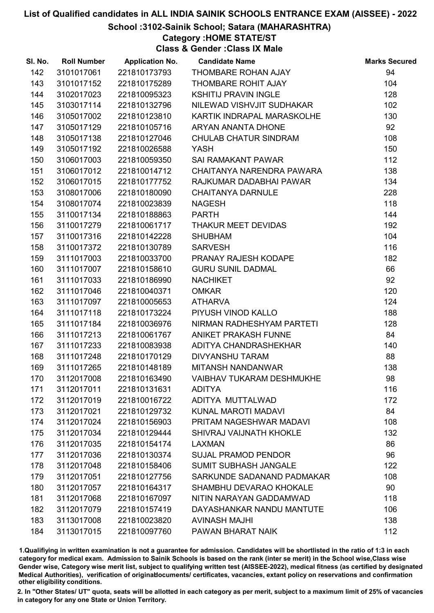### School :3102-Sainik School; Satara (MAHARASHTRA)

# Category :HOME STATE/ST

Class & Gender :Class IX Male

| SI. No. | <b>Roll Number</b> | <b>Application No.</b> | <b>Candidate Name</b>            | <b>Marks Secured</b> |
|---------|--------------------|------------------------|----------------------------------|----------------------|
| 142     | 3101017061         | 221810173793           | THOMBARE ROHAN AJAY              | 94                   |
| 143     | 3101017152         | 221810175289           | THOMBARE ROHIT AJAY              | 104                  |
| 144     | 3102017023         | 221810095323           | <b>KSHITIJ PRAVIN INGLE</b>      | 128                  |
| 145     | 3103017114         | 221810132796           | NILEWAD VISHVJIT SUDHAKAR        | 102                  |
| 146     | 3105017002         | 221810123810           | KARTIK INDRAPAL MARASKOLHE       | 130                  |
| 147     | 3105017129         | 221810105716           | ARYAN ANANTA DHONE               | 92                   |
| 148     | 3105017138         | 221810127046           | CHULAB CHATUR SINDRAM            | 108                  |
| 149     | 3105017192         | 221810026588           | <b>YASH</b>                      | 150                  |
| 150     | 3106017003         | 221810059350           | <b>SAI RAMAKANT PAWAR</b>        | 112                  |
| 151     | 3106017012         | 221810014712           | CHAITANYA NARENDRA PAWARA        | 138                  |
| 152     | 3106017015         | 221810177752           | RAJKUMAR DADABHAI PAWAR          | 134                  |
| 153     | 3108017006         | 221810180090           | <b>CHAITANYA DARNULE</b>         | 228                  |
| 154     | 3108017074         | 221810023839           | <b>NAGESH</b>                    | 118                  |
| 155     | 3110017134         | 221810188863           | <b>PARTH</b>                     | 144                  |
| 156     | 3110017279         | 221810061717           | THAKUR MEET DEVIDAS              | 192                  |
| 157     | 3110017316         | 221810142228           | <b>SHUBHAM</b>                   | 104                  |
| 158     | 3110017372         | 221810130789           | <b>SARVESH</b>                   | 116                  |
| 159     | 3111017003         | 221810033700           | PRANAY RAJESH KODAPE             | 182                  |
| 160     | 3111017007         | 221810158610           | <b>GURU SUNIL DADMAL</b>         | 66                   |
| 161     | 3111017033         | 221810186990           | <b>NACHIKET</b>                  | 92                   |
| 162     | 3111017046         | 221810040371           | <b>OMKAR</b>                     | 120                  |
| 163     | 3111017097         | 221810005653           | <b>ATHARVA</b>                   | 124                  |
| 164     | 3111017118         | 221810173224           | PIYUSH VINOD KALLO               | 188                  |
| 165     | 3111017184         | 221810036976           | NIRMAN RADHESHYAM PARTETI        | 128                  |
| 166     | 3111017213         | 221810061767           | ANIKET PRAKASH FUNNE             | 84                   |
| 167     | 3111017233         | 221810083938           | ADITYA CHANDRASHEKHAR            | 140                  |
| 168     | 3111017248         | 221810170129           | <b>DIVYANSHU TARAM</b>           | 88                   |
| 169     | 3111017265         | 221810148189           | MITANSH NANDANWAR                | 138                  |
| 170     | 3112017008         | 221810163490           | <b>VAIBHAV TUKARAM DESHMUKHE</b> | 98                   |
| 171     | 3112017011         | 221810131631           | <b>ADITYA</b>                    | 116                  |
| 172     | 3112017019         | 221810016722           | ADITYA MUTTALWAD                 | 172                  |
| 173     | 3112017021         | 221810129732           | KUNAL MAROTI MADAVI              | 84                   |
| 174     | 3112017024         | 221810156903           | PRITAM NAGESHWAR MADAVI          | 108                  |
| 175     | 3112017034         | 221810129444           | SHIVRAJ VAIJNATH KHOKLE          | 132                  |
| 176     | 3112017035         | 221810154174           | <b>LAXMAN</b>                    | 86                   |
| 177     | 3112017036         | 221810130374           | <b>SUJAL PRAMOD PENDOR</b>       | 96                   |
| 178     | 3112017048         | 221810158406           | SUMIT SUBHASH JANGALE            | 122                  |
| 179     | 3112017051         | 221810127756           | SARKUNDE SADANAND PADMAKAR       | 108                  |
| 180     | 3112017057         | 221810164317           | SHAMBHU DEVARAO KHOKALE          | 90                   |
| 181     | 3112017068         | 221810167097           | NITIN NARAYAN GADDAMWAD          | 118                  |
| 182     | 3112017079         | 221810157419           | DAYASHANKAR NANDU MANTUTE        | 106                  |
| 183     | 3113017008         | 221810023820           | <b>AVINASH MAJHI</b>             | 138                  |
| 184     | 3113017015         | 221810097760           | PAWAN BHARAT NAIK                | 112                  |

1.Qualifiying in written examination is not a guarantee for admission. Candidates will be shortlisted in the ratio of 1:3 in each category for medical exam. Admission to Sainik Schools is based on the rank (inter se merit) in the School wise,Class wise Gender wise, Category wise merit list, subject to qualifying written test (AISSEE-2022), medical fitness (as certified by designated Medical Authorities), verification of originablocuments/ certificates, vacancies, extant policy on reservations and confirmation other eligibility conditions.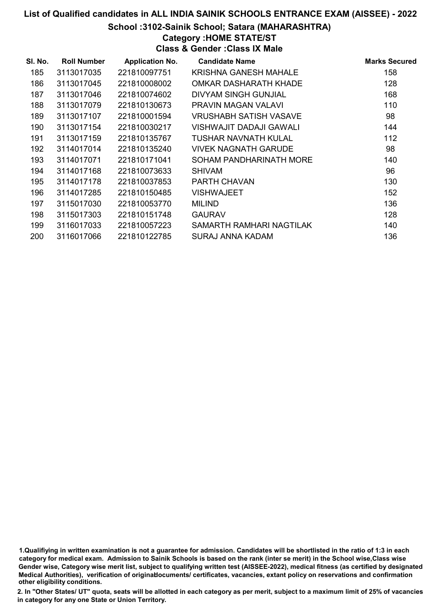#### School :3102-Sainik School; Satara (MAHARASHTRA)

# Category :HOME STATE/ST

Class & Gender :Class IX Male

| SI. No. | <b>Roll Number</b> | <b>Application No.</b> | <b>Candidate Name</b>       | <b>Marks Secured</b> |
|---------|--------------------|------------------------|-----------------------------|----------------------|
| 185     | 3113017035         | 221810097751           | KRISHNA GANESH MAHALE       | 158                  |
| 186     | 3113017045         | 221810008002           | OMKAR DASHARATH KHADE       | 128                  |
| 187     | 3113017046         | 221810074602           | <b>DIVYAM SINGH GUNJIAL</b> | 168                  |
| 188     | 3113017079         | 221810130673           | PRAVIN MAGAN VALAVI         | 110                  |
| 189     | 3113017107         | 221810001594           | VRUSHABH SATISH VASAVE      | 98                   |
| 190     | 3113017154         | 221810030217           | VISHWAJIT DADAJI GAWALI     | 144                  |
| 191     | 3113017159         | 221810135767           | TUSHAR NAVNATH KULAL        | 112                  |
| 192     | 3114017014         | 221810135240           | VIVEK NAGNATH GARUDE        | 98                   |
| 193     | 3114017071         | 221810171041           | SOHAM PANDHARINATH MORE     | 140                  |
| 194     | 3114017168         | 221810073633           | <b>SHIVAM</b>               | 96                   |
| 195     | 3114017178         | 221810037853           | <b>PARTH CHAVAN</b>         | 130                  |
| 196     | 3114017285         | 221810150485           | <b>VISHWAJEET</b>           | 152                  |
| 197     | 3115017030         | 221810053770           | <b>MILIND</b>               | 136                  |
| 198     | 3115017303         | 221810151748           | <b>GAURAV</b>               | 128                  |
| 199     | 3116017033         | 221810057223           | SAMARTH RAMHARI NAGTILAK    | 140                  |
| 200     | 3116017066         | 221810122785           | <b>SURAJ ANNA KADAM</b>     | 136                  |

1.Qualifiying in written examination is not a guarantee for admission. Candidates will be shortlisted in the ratio of 1:3 in each category for medical exam. Admission to Sainik Schools is based on the rank (inter se merit) in the School wise,Class wise Gender wise, Category wise merit list, subject to qualifying written test (AISSEE-2022), medical fitness (as certified by designated Medical Authorities), verification of originablocuments/ certificates, vacancies, extant policy on reservations and confirmation other eligibility conditions.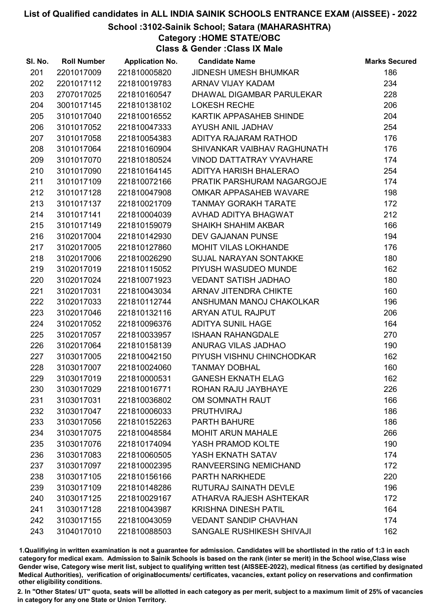# School :3102-Sainik School; Satara (MAHARASHTRA)

Category :HOME STATE/OBC

Class & Gender :Class IX Male

| SI. No. | <b>Roll Number</b> | <b>Application No.</b> | <b>Candidate Name</b>          | <b>Marks Secured</b> |
|---------|--------------------|------------------------|--------------------------------|----------------------|
| 201     | 2201017009         | 221810005820           | JIDNESH UMESH BHUMKAR          | 186                  |
| 202     | 2201017112         | 221810019783           | <b>ARNAV VIJAY KADAM</b>       | 234                  |
| 203     | 2707017025         | 221810160547           | DHAWAL DIGAMBAR PARULEKAR      | 228                  |
| 204     | 3001017145         | 221810138102           | <b>LOKESH RECHE</b>            | 206                  |
| 205     | 3101017040         | 221810016552           | <b>KARTIK APPASAHEB SHINDE</b> | 204                  |
| 206     | 3101017052         | 221810047333           | AYUSH ANIL JADHAV              | 254                  |
| 207     | 3101017058         | 221810054383           | ADITYA RAJARAM RATHOD          | 176                  |
| 208     | 3101017064         | 221810160904           | SHIVANKAR VAIBHAV RAGHUNATH    | 176                  |
| 209     | 3101017070         | 221810180524           | VINOD DATTATRAY VYAVHARE       | 174                  |
| 210     | 3101017090         | 221810164145           | ADITYA HARISH BHALERAO         | 254                  |
| 211     | 3101017109         | 221810072166           | PRATIK PARSHURAM NAGARGOJE     | 174                  |
| 212     | 3101017128         | 221810047908           | OMKAR APPASAHEB WAVARE         | 198                  |
| 213     | 3101017137         | 221810021709           | <b>TANMAY GORAKH TARATE</b>    | 172                  |
| 214     | 3101017141         | 221810004039           | AVHAD ADITYA BHAGWAT           | 212                  |
| 215     | 3101017149         | 221810159079           | <b>SHAIKH SHAHIM AKBAR</b>     | 166                  |
| 216     | 3102017004         | 221810142930           | DEV GAJANAN PUNSE              | 194                  |
| 217     | 3102017005         | 221810127860           | MOHIT VILAS LOKHANDE           | 176                  |
| 218     | 3102017006         | 221810026290           | SUJAL NARAYAN SONTAKKE         | 180                  |
| 219     | 3102017019         | 221810115052           | PIYUSH WASUDEO MUNDE           | 162                  |
| 220     | 3102017024         | 221810071923           | <b>VEDANT SATISH JADHAO</b>    | 180                  |
| 221     | 3102017031         | 221810043034           | ARNAV JITENDRA CHIKTE          | 160                  |
| 222     | 3102017033         | 221810112744           | ANSHUMAN MANOJ CHAKOLKAR       | 196                  |
| 223     | 3102017046         | 221810132116           | ARYAN ATUL RAJPUT              | 206                  |
| 224     | 3102017052         | 221810096376           | <b>ADITYA SUNIL HAGE</b>       | 164                  |
| 225     | 3102017057         | 221810033957           | <b>ISHAAN RAHANGDALE</b>       | 270                  |
| 226     | 3102017064         | 221810158139           | ANURAG VILAS JADHAO            | 190                  |
| 227     | 3103017005         | 221810042150           | PIYUSH VISHNU CHINCHODKAR      | 162                  |
| 228     | 3103017007         | 221810024060           | <b>TANMAY DOBHAL</b>           | 160                  |
| 229     | 3103017019         | 221810000531           | <b>GANESH EKNATH ELAG</b>      | 162                  |
| 230     | 3103017029         | 221810016771           | ROHAN RAJU JAYBHAYE            | 226                  |
| 231     | 3103017031         | 221810036802           | OM SOMNATH RAUT                | 166                  |
| 232     | 3103017047         | 221810006033           | <b>PRUTHVIRAJ</b>              | 186                  |
| 233     | 3103017056         | 221810152263           | <b>PARTH BAHURE</b>            | 186                  |
| 234     | 3103017075         | 221810048584           | <b>MOHIT ARUN MAHALE</b>       | 266                  |
| 235     | 3103017076         | 221810174094           | YASH PRAMOD KOLTE              | 190                  |
| 236     | 3103017083         | 221810060505           | YASH EKNATH SATAV              | 174                  |
| 237     | 3103017097         | 221810002395           | <b>RANVEERSING NEMICHAND</b>   | 172                  |
| 238     | 3103017105         | 221810156166           | <b>PARTH NARKHEDE</b>          | 220                  |
| 239     | 3103017109         | 221810148286           | RUTURAJ SAINATH DEVLE          | 196                  |
| 240     | 3103017125         | 221810029167           | ATHARVA RAJESH ASHTEKAR        | 172                  |
| 241     | 3103017128         | 221810043987           | <b>KRISHNA DINESH PATIL</b>    | 164                  |
| 242     | 3103017155         | 221810043059           | <b>VEDANT SANDIP CHAVHAN</b>   | 174                  |
| 243     | 3104017010         | 221810088503           | SANGALE RUSHIKESH SHIVAJI      | 162                  |

1.Qualifiying in written examination is not a guarantee for admission. Candidates will be shortlisted in the ratio of 1:3 in each category for medical exam. Admission to Sainik Schools is based on the rank (inter se merit) in the School wise,Class wise Gender wise, Category wise merit list, subject to qualifying written test (AISSEE-2022), medical fitness (as certified by designated Medical Authorities), verification of originablocuments/ certificates, vacancies, extant policy on reservations and confirmation other eligibility conditions.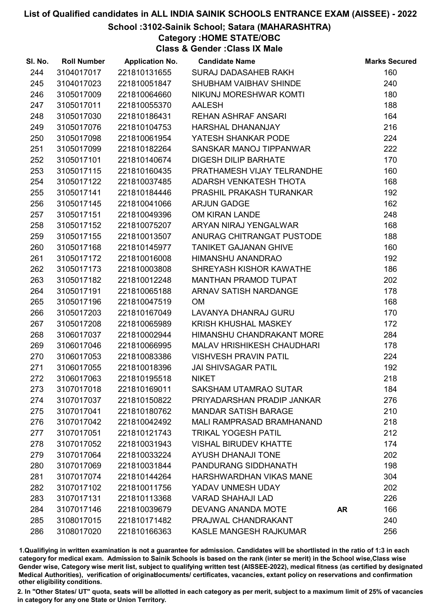# School :3102-Sainik School; Satara (MAHARASHTRA)

Category :HOME STATE/OBC

Class & Gender :Class IX Male

| SI. No. | <b>Roll Number</b> | <b>Application No.</b> | <b>Candidate Name</b>             |           | <b>Marks Secured</b> |
|---------|--------------------|------------------------|-----------------------------------|-----------|----------------------|
| 244     | 3104017017         | 221810131655           | SURAJ DADASAHEB RAKH              |           | 160                  |
| 245     | 3104017023         | 221810051847           | SHUBHAM VAIBHAV SHINDE            |           | 240                  |
| 246     | 3105017009         | 221810064660           | NIKUNJ MORESHWAR KOMTI            |           | 180                  |
| 247     | 3105017011         | 221810055370           | <b>AALESH</b>                     |           | 188                  |
| 248     | 3105017030         | 221810186431           | <b>REHAN ASHRAF ANSARI</b>        |           | 164                  |
| 249     | 3105017076         | 221810104753           | HARSHAL DHANANJAY                 |           | 216                  |
| 250     | 3105017098         | 221810061954           | YATESH SHANKAR PODE               |           | 224                  |
| 251     | 3105017099         | 221810182264           | SANSKAR MANOJ TIPPANWAR           |           | 222                  |
| 252     | 3105017101         | 221810140674           | <b>DIGESH DILIP BARHATE</b>       |           | 170                  |
| 253     | 3105017115         | 221810160435           | PRATHAMESH VIJAY TELRANDHE        |           | 160                  |
| 254     | 3105017122         | 221810037485           | ADARSH VENKATESH THOTA            |           | 168                  |
| 255     | 3105017141         | 221810184446           | PRASHIL PRAKASH TURANKAR          |           | 192                  |
| 256     | 3105017145         | 221810041066           | <b>ARJUN GADGE</b>                |           | 162                  |
| 257     | 3105017151         | 221810049396           | OM KIRAN LANDE                    |           | 248                  |
| 258     | 3105017152         | 221810075207           | ARYAN NIRAJ YENGALWAR             |           | 168                  |
| 259     | 3105017155         | 221810013507           | ANURAG CHITRANGAT PUSTODE         |           | 188                  |
| 260     | 3105017168         | 221810145977           | <b>TANIKET GAJANAN GHIVE</b>      |           | 160                  |
| 261     | 3105017172         | 221810016008           | HIMANSHU ANANDRAO                 |           | 192                  |
| 262     | 3105017173         | 221810003808           | SHREYASH KISHOR KAWATHE           |           | 186                  |
| 263     | 3105017182         | 221810012248           | <b>MANTHAN PRAMOD TUPAT</b>       |           | 202                  |
| 264     | 3105017191         | 221810065188           | ARNAV SATISH NARDANGE             |           | 178                  |
| 265     | 3105017196         | 221810047519           | <b>OM</b>                         |           | 168                  |
| 266     | 3105017203         | 221810167049           | LAVANYA DHANRAJ GURU              |           | 170                  |
| 267     | 3105017208         | 221810065989           | <b>KRISH KHUSHAL MASKEY</b>       |           | 172                  |
| 268     | 3106017037         | 221810002944           | HIMANSHU CHANDRAKANT MORE         |           | 284                  |
| 269     | 3106017046         | 221810066995           | <b>MALAV HRISHIKESH CHAUDHARI</b> |           | 178                  |
| 270     | 3106017053         | 221810083386           | <b>VISHVESH PRAVIN PATIL</b>      |           | 224                  |
| 271     | 3106017055         | 221810018396           | <b>JAI SHIVSAGAR PATIL</b>        |           | 192                  |
| 272     | 3106017063         | 221810195518           | <b>NIKET</b>                      |           | 218                  |
| 273     | 3107017018         | 221810169011           | <b>SAKSHAM UTAMRAO SUTAR</b>      |           | 184                  |
| 274     | 3107017037         | 221810150822           | PRIYADARSHAN PRADIP JANKAR        |           | 276                  |
| 275     | 3107017041         | 221810180762           | <b>MANDAR SATISH BARAGE</b>       |           | 210                  |
| 276     | 3107017042         | 221810042492           | <b>MALI RAMPRASAD BRAMHANAND</b>  |           | 218                  |
| 277     | 3107017051         | 221810121743           | <b>TRIKAL YOGESH PATIL</b>        |           | 212                  |
| 278     | 3107017052         | 221810031943           | <b>VISHAL BIRUDEV KHATTE</b>      |           | 174                  |
| 279     | 3107017064         | 221810033224           | <b>AYUSH DHANAJI TONE</b>         |           | 202                  |
| 280     | 3107017069         | 221810031844           | PANDURANG SIDDHANATH              |           | 198                  |
| 281     | 3107017074         | 221810144264           | HARSHWARDHAN VIKAS MANE           |           | 304                  |
| 282     | 3107017102         | 221810011756           | YADAV UNMESH UDAY                 |           | 202                  |
| 283     | 3107017131         | 221810113368           | <b>VARAD SHAHAJI LAD</b>          |           | 226                  |
| 284     | 3107017146         | 221810039679           | <b>DEVANG ANANDA MOTE</b>         | <b>AR</b> | 166                  |
| 285     | 3108017015         | 221810171482           | PRAJWAL CHANDRAKANT               |           | 240                  |
| 286     | 3108017020         | 221810166363           | <b>KASLE MANGESH RAJKUMAR</b>     |           | 256                  |

1.Qualifiying in written examination is not a guarantee for admission. Candidates will be shortlisted in the ratio of 1:3 in each category for medical exam. Admission to Sainik Schools is based on the rank (inter se merit) in the School wise,Class wise Gender wise, Category wise merit list, subject to qualifying written test (AISSEE-2022), medical fitness (as certified by designated Medical Authorities), verification of originablocuments/ certificates, vacancies, extant policy on reservations and confirmation other eligibility conditions.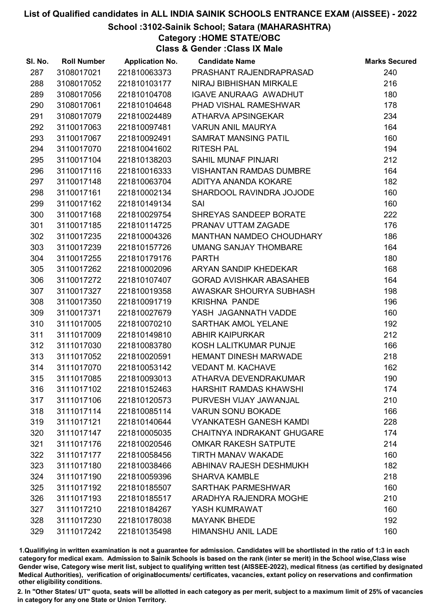# School :3102-Sainik School; Satara (MAHARASHTRA)

Category :HOME STATE/OBC

Class & Gender :Class IX Male

| SI. No. | <b>Roll Number</b> | <b>Application No.</b> | <b>Candidate Name</b>          | <b>Marks Secured</b> |
|---------|--------------------|------------------------|--------------------------------|----------------------|
| 287     | 3108017021         | 221810063373           | PRASHANT RAJENDRAPRASAD        | 240                  |
| 288     | 3108017052         | 221810103177           | NIRAJ BIBHISHAN MIRKALE        | 216                  |
| 289     | 3108017056         | 221810104708           | <b>IGAVE ANURAAG AWADHUT</b>   | 180                  |
| 290     | 3108017061         | 221810104648           | PHAD VISHAL RAMESHWAR          | 178                  |
| 291     | 3108017079         | 221810024489           | ATHARVA APSINGEKAR             | 234                  |
| 292     | 3110017063         | 221810097481           | <b>VARUN ANIL MAURYA</b>       | 164                  |
| 293     | 3110017067         | 221810092491           | <b>SAMRAT MANSING PATIL</b>    | 160                  |
| 294     | 3110017070         | 221810041602           | <b>RITESH PAL</b>              | 194                  |
| 295     | 3110017104         | 221810138203           | <b>SAHIL MUNAF PINJARI</b>     | 212                  |
| 296     | 3110017116         | 221810016333           | <b>VISHANTAN RAMDAS DUMBRE</b> | 164                  |
| 297     | 3110017148         | 221810063704           | ADITYA ANANDA KOKARE           | 182                  |
| 298     | 3110017161         | 221810002134           | SHARDOOL RAVINDRA JOJODE       | 160                  |
| 299     | 3110017162         | 221810149134           | SAI                            | 160                  |
| 300     | 3110017168         | 221810029754           | SHREYAS SANDEEP BORATE         | 222                  |
| 301     | 3110017185         | 221810114725           | PRANAV UTTAM ZAGADE            | 176                  |
| 302     | 3110017235         | 221810004326           | MANTHAN NAMDEO CHOUDHARY       | 186                  |
| 303     | 3110017239         | 221810157726           | <b>UMANG SANJAY THOMBARE</b>   | 164                  |
| 304     | 3110017255         | 221810179176           | <b>PARTH</b>                   | 180                  |
| 305     | 3110017262         | 221810002096           | ARYAN SANDIP KHEDEKAR          | 168                  |
| 306     | 3110017272         | 221810107407           | <b>GORAD AVISHKAR ABASAHEB</b> | 164                  |
| 307     | 3110017327         | 221810019358           | AWASKAR SHOURYA SUBHASH        | 198                  |
| 308     | 3110017350         | 221810091719           | <b>KRISHNA PANDE</b>           | 196                  |
| 309     | 3110017371         | 221810027679           | YASH JAGANNATH VADDE           | 160                  |
| 310     | 3111017005         | 221810070210           | SARTHAK AMOL YELANE            | 192                  |
| 311     | 3111017009         | 221810149810           | <b>ABHIR KAIPURKAR</b>         | 212                  |
| 312     | 3111017030         | 221810083780           | KOSH LALITKUMAR PUNJE          | 166                  |
| 313     | 3111017052         | 221810020591           | <b>HEMANT DINESH MARWADE</b>   | 218                  |
| 314     | 3111017070         | 221810053142           | <b>VEDANT M. KACHAVE</b>       | 162                  |
| 315     | 3111017085         | 221810093013           | ATHARVA DEVENDRAKUMAR          | 190                  |
| 316     | 3111017102         | 221810152463           | <b>HARSHIT RAMDAS KHAWSHI</b>  | 174                  |
| 317     | 3111017106         | 221810120573           | PURVESH VIJAY JAWANJAL         | 210                  |
| 318     | 3111017114         | 221810085114           | <b>VARUN SONU BOKADE</b>       | 166                  |
| 319     | 3111017121         | 221810140644           | <b>VYANKATESH GANESH KAMDI</b> | 228                  |
| 320     | 3111017147         | 221810005035           | CHAITNYA INDRAKANT GHUGARE     | 174                  |
| 321     | 3111017176         | 221810020546           | <b>OMKAR RAKESH SATPUTE</b>    | 214                  |
| 322     | 3111017177         | 221810058456           | <b>TIRTH MANAV WAKADE</b>      | 160                  |
| 323     | 3111017180         | 221810038466           | ABHINAV RAJESH DESHMUKH        | 182                  |
| 324     | 3111017190         | 221810059396           | <b>SHARVA KAMBLE</b>           | 218                  |
| 325     | 3111017192         | 221810185507           | <b>SARTHAK PARMESHWAR</b>      | 160                  |
| 326     | 3111017193         | 221810185517           | ARADHYA RAJENDRA MOGHE         | 210                  |
| 327     | 3111017210         | 221810184267           | YASH KUMRAWAT                  | 160                  |
| 328     | 3111017230         | 221810178038           | <b>MAYANK BHEDE</b>            | 192                  |
| 329     | 3111017242         | 221810135498           | <b>HIMANSHU ANIL LADE</b>      | 160                  |

1.Qualifiying in written examination is not a guarantee for admission. Candidates will be shortlisted in the ratio of 1:3 in each category for medical exam. Admission to Sainik Schools is based on the rank (inter se merit) in the School wise,Class wise Gender wise, Category wise merit list, subject to qualifying written test (AISSEE-2022), medical fitness (as certified by designated Medical Authorities), verification of originablocuments/ certificates, vacancies, extant policy on reservations and confirmation other eligibility conditions.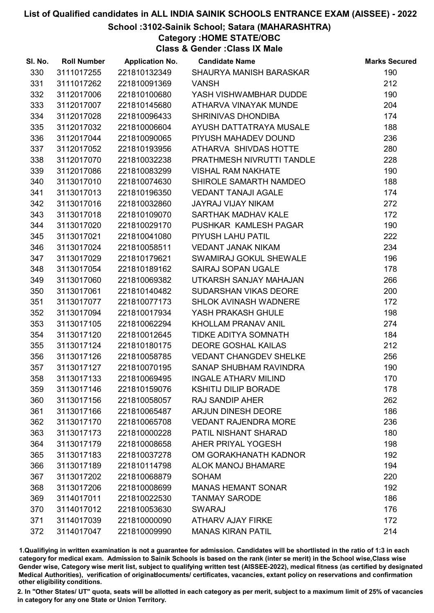# School :3102-Sainik School; Satara (MAHARASHTRA)

Category :HOME STATE/OBC

Class & Gender :Class IX Male

| SI. No. | <b>Roll Number</b> | <b>Application No.</b> | <b>Candidate Name</b>         | <b>Marks Secured</b> |
|---------|--------------------|------------------------|-------------------------------|----------------------|
| 330     | 3111017255         | 221810132349           | SHAURYA MANISH BARASKAR       | 190                  |
| 331     | 3111017262         | 221810091369           | <b>VANSH</b>                  | 212                  |
| 332     | 3112017006         | 221810100680           | YASH VISHWAMBHAR DUDDE        | 190                  |
| 333     | 3112017007         | 221810145680           | ATHARVA VINAYAK MUNDE         | 204                  |
| 334     | 3112017028         | 221810096433           | SHRINIVAS DHONDIBA            | 174                  |
| 335     | 3112017032         | 221810006604           | AYUSH DATTATRAYA MUSALE       | 188                  |
| 336     | 3112017044         | 221810090065           | PIYUSH MAHADEV DOUND          | 236                  |
| 337     | 3112017052         | 221810193956           | ATHARVA SHIVDAS HOTTE         | 280                  |
| 338     | 3112017070         | 221810032238           | PRATHMESH NIVRUTTI TANDLE     | 228                  |
| 339     | 3112017086         | 221810083299           | <b>VISHAL RAM NAKHATE</b>     | 190                  |
| 340     | 3113017010         | 221810074630           | SHIROLE SAMARTH NAMDEO        | 188                  |
| 341     | 3113017013         | 221810196350           | <b>VEDANT TANAJI AGALE</b>    | 174                  |
| 342     | 3113017016         | 221810032860           | <b>JAYRAJ VIJAY NIKAM</b>     | 272                  |
| 343     | 3113017018         | 221810109070           | <b>SARTHAK MADHAV KALE</b>    | 172                  |
| 344     | 3113017020         | 221810029170           | PUSHKAR KAMLESH PAGAR         | 190                  |
| 345     | 3113017021         | 221810041080           | PIYUSH LAHU PATIL             | 222                  |
| 346     | 3113017024         | 221810058511           | <b>VEDANT JANAK NIKAM</b>     | 234                  |
| 347     | 3113017029         | 221810179621           | SWAMIRAJ GOKUL SHEWALE        | 196                  |
| 348     | 3113017054         | 221810189162           | <b>SAIRAJ SOPAN UGALE</b>     | 178                  |
| 349     | 3113017060         | 221810069382           | UTKARSH SANJAY MAHAJAN        | 266                  |
| 350     | 3113017061         | 221810140482           | SUDARSHAN VIKAS DEORE         | 200                  |
| 351     | 3113017077         | 221810077173           | SHLOK AVINASH WADNERE         | 172                  |
| 352     | 3113017094         | 221810017934           | YASH PRAKASH GHULE            | 198                  |
| 353     | 3113017105         | 221810062294           | <b>KHOLLAM PRANAV ANIL</b>    | 274                  |
| 354     | 3113017120         | 221810012645           | TIDKE ADITYA SOMNATH          | 184                  |
| 355     | 3113017124         | 221810180175           | <b>DEORE GOSHAL KAILAS</b>    | 212                  |
| 356     | 3113017126         | 221810058785           | <b>VEDANT CHANGDEV SHELKE</b> | 256                  |
| 357     | 3113017127         | 221810070195           | SANAP SHUBHAM RAVINDRA        | 190                  |
| 358     | 3113017133         | 221810069495           | <b>INGALE ATHARV MILIND</b>   | 170                  |
| 359     | 3113017146         | 221810159076           | <b>KSHITIJ DILIP BORADE</b>   | 178                  |
| 360     | 3113017156         | 221810058057           | <b>RAJ SANDIP AHER</b>        | 262                  |
| 361     | 3113017166         | 221810065487           | <b>ARJUN DINESH DEORE</b>     | 186                  |
| 362     | 3113017170         | 221810065708           | <b>VEDANT RAJENDRA MORE</b>   | 236                  |
| 363     | 3113017173         | 221810000228           | PATIL NISHANT SHARAD          | 180                  |
| 364     | 3113017179         | 221810008658           | AHER PRIYAL YOGESH            | 198                  |
| 365     | 3113017183         | 221810037278           | OM GORAKHANATH KADNOR         | 192                  |
| 366     | 3113017189         | 221810114798           | <b>ALOK MANOJ BHAMARE</b>     | 194                  |
| 367     | 3113017202         | 221810068879           | <b>SOHAM</b>                  | 220                  |
| 368     | 3113017206         | 221810008699           | <b>MANAS HEMANT SONAR</b>     | 192                  |
| 369     | 3114017011         | 221810022530           | <b>TANMAY SARODE</b>          | 186                  |
| 370     | 3114017012         | 221810053630           | <b>SWARAJ</b>                 | 176                  |
| 371     | 3114017039         | 221810000090           | <b>ATHARV AJAY FIRKE</b>      | 172                  |
| 372     | 3114017047         | 221810009990           | <b>MANAS KIRAN PATIL</b>      | 214                  |

1.Qualifiying in written examination is not a guarantee for admission. Candidates will be shortlisted in the ratio of 1:3 in each category for medical exam. Admission to Sainik Schools is based on the rank (inter se merit) in the School wise,Class wise Gender wise, Category wise merit list, subject to qualifying written test (AISSEE-2022), medical fitness (as certified by designated Medical Authorities), verification of originablocuments/ certificates, vacancies, extant policy on reservations and confirmation other eligibility conditions.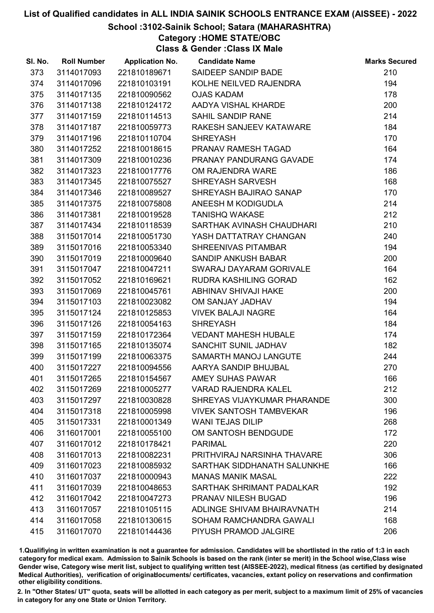# School :3102-Sainik School; Satara (MAHARASHTRA)

Category :HOME STATE/OBC

Class & Gender :Class IX Male

| SI. No. | <b>Roll Number</b> | <b>Application No.</b> | <b>Candidate Name</b>          | <b>Marks Secured</b> |
|---------|--------------------|------------------------|--------------------------------|----------------------|
| 373     | 3114017093         | 221810189671           | SAIDEEP SANDIP BADE            | 210                  |
| 374     | 3114017096         | 221810103191           | KOLHE NEILVED RAJENDRA         | 194                  |
| 375     | 3114017135         | 221810090562           | <b>OJAS KADAM</b>              | 178                  |
| 376     | 3114017138         | 221810124172           | AADYA VISHAL KHARDE            | 200                  |
| 377     | 3114017159         | 221810114513           | <b>SAHIL SANDIP RANE</b>       | 214                  |
| 378     | 3114017187         | 221810059773           | RAKESH SANJEEV KATAWARE        | 184                  |
| 379     | 3114017196         | 221810110704           | <b>SHREYASH</b>                | 170                  |
| 380     | 3114017252         | 221810018615           | PRANAV RAMESH TAGAD            | 164                  |
| 381     | 3114017309         | 221810010236           | PRANAY PANDURANG GAVADE        | 174                  |
| 382     | 3114017323         | 221810017776           | OM RAJENDRA WARE               | 186                  |
| 383     | 3114017345         | 221810075527           | SHREYASH SARVESH               | 168                  |
| 384     | 3114017346         | 221810089527           | SHREYASH BAJIRAO SANAP         | 170                  |
| 385     | 3114017375         | 221810075808           | ANEESH M KODIGUDLA             | 214                  |
| 386     | 3114017381         | 221810019528           | <b>TANISHQ WAKASE</b>          | 212                  |
| 387     | 3114017434         | 221810118539           | SARTHAK AVINASH CHAUDHARI      | 210                  |
| 388     | 3115017014         | 221810051730           | YASH DATTATRAY CHANGAN         | 240                  |
| 389     | 3115017016         | 221810053340           | SHREENIVAS PITAMBAR            | 194                  |
| 390     | 3115017019         | 221810009640           | <b>SANDIP ANKUSH BABAR</b>     | 200                  |
| 391     | 3115017047         | 221810047211           | SWARAJ DAYARAM GORIVALE        | 164                  |
| 392     | 3115017052         | 221810169621           | RUDRA KASHILING GORAD          | 162                  |
| 393     | 3115017069         | 221810045761           | ABHINAV SHIVAJI HAKE           | 200                  |
| 394     | 3115017103         | 221810023082           | OM SANJAY JADHAV               | 194                  |
| 395     | 3115017124         | 221810125853           | <b>VIVEK BALAJI NAGRE</b>      | 164                  |
| 396     | 3115017126         | 221810054163           | <b>SHREYASH</b>                | 184                  |
| 397     | 3115017159         | 221810172364           | <b>VEDANT MAHESH HUBALE</b>    | 174                  |
| 398     | 3115017165         | 221810135074           | SANCHIT SUNIL JADHAV           | 182                  |
| 399     | 3115017199         | 221810063375           | SAMARTH MANOJ LANGUTE          | 244                  |
| 400     | 3115017227         | 221810094556           | AARYA SANDIP BHUJBAL           | 270                  |
| 401     | 3115017265         | 221810154567           | <b>AMEY SUHAS PAWAR</b>        | 166                  |
| 402     | 3115017269         | 221810005277           | <b>VARAD RAJENDRA KALEL</b>    | 212                  |
| 403     | 3115017297         | 221810030828           | SHREYAS VIJAYKUMAR PHARANDE    | 300                  |
| 404     | 3115017318         | 221810005998           | <b>VIVEK SANTOSH TAMBVEKAR</b> | 196                  |
| 405     | 3115017331         | 221810001349           | <b>WANI TEJAS DILIP</b>        | 268                  |
| 406     | 3116017001         | 221810055100           | OM SANTOSH BENDGUDE            | 172                  |
| 407     | 3116017012         | 221810178421           | <b>PARIMAL</b>                 | 220                  |
| 408     | 3116017013         | 221810082231           | PRITHVIRAJ NARSINHA THAVARE    | 306                  |
| 409     | 3116017023         | 221810085932           | SARTHAK SIDDHANATH SALUNKHE    | 166                  |
| 410     | 3116017037         | 221810000943           | <b>MANAS MANIK MASAL</b>       | 222                  |
| 411     | 3116017039         | 221810048653           | SARTHAK SHRIMANT PADALKAR      | 192                  |
| 412     | 3116017042         | 221810047273           | PRANAV NILESH BUGAD            | 196                  |
| 413     | 3116017057         | 221810105115           | ADLINGE SHIVAM BHAIRAVNATH     | 214                  |
| 414     | 3116017058         | 221810130615           | SOHAM RAMCHANDRA GAWALI        | 168                  |
| 415     | 3116017070         | 221810144436           | PIYUSH PRAMOD JALGIRE          | 206                  |

1.Qualifiying in written examination is not a guarantee for admission. Candidates will be shortlisted in the ratio of 1:3 in each category for medical exam. Admission to Sainik Schools is based on the rank (inter se merit) in the School wise,Class wise Gender wise, Category wise merit list, subject to qualifying written test (AISSEE-2022), medical fitness (as certified by designated Medical Authorities), verification of originablocuments/ certificates, vacancies, extant policy on reservations and confirmation other eligibility conditions.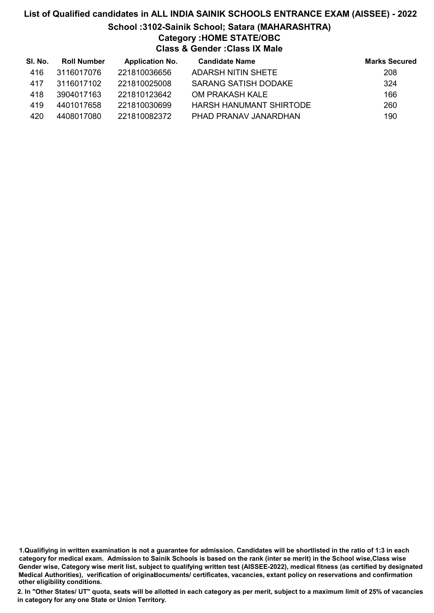# List of Qualified candidates in ALL INDIA SAINIK SCHOOLS ENTRANCE EXAM (AISSEE) - 2022 School :3102-Sainik School; Satara (MAHARASHTRA) Category :HOME STATE/OBC Class & Gender :Class IX Male

| SI. No. | <b>Roll Number</b> | <b>Application No.</b> | <b>Candidate Name</b>   | <b>Marks Secured</b> |
|---------|--------------------|------------------------|-------------------------|----------------------|
| 416     | 3116017076         | 221810036656           | ADARSH NITIN SHETE      | 208                  |
| 417     | 3116017102         | 221810025008           | SARANG SATISH DODAKE    | 324                  |
| 418     | 3904017163         | 221810123642           | OM PRAKASH KALE         | 166                  |
| 419     | 4401017658         | 221810030699           | HARSH HANUMANT SHIRTODE | 260                  |
| 420     | 4408017080         | 221810082372           | PHAD PRANAV JANARDHAN   | 190                  |

1.Qualifiying in written examination is not a guarantee for admission. Candidates will be shortlisted in the ratio of 1:3 in each category for medical exam. Admission to Sainik Schools is based on the rank (inter se merit) in the School wise,Class wise Gender wise, Category wise merit list, subject to qualifying written test (AISSEE-2022), medical fitness (as certified by designated Medical Authorities), verification of originablocuments/ certificates, vacancies, extant policy on reservations and confirmation other eligibility conditions.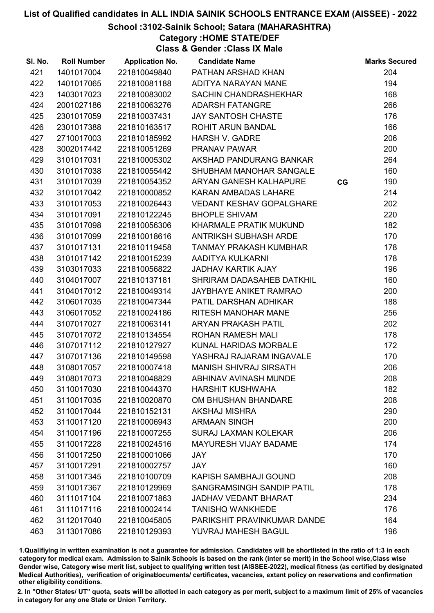### School :3102-Sainik School; Satara (MAHARASHTRA)

Category :HOME STATE/DEF

Class & Gender :Class IX Male

| SI. No. | <b>Roll Number</b> | <b>Application No.</b> | <b>Candidate Name</b>           |    | <b>Marks Secured</b> |
|---------|--------------------|------------------------|---------------------------------|----|----------------------|
| 421     | 1401017004         | 221810049840           | PATHAN ARSHAD KHAN              |    | 204                  |
| 422     | 1401017065         | 221810081188           | ADITYA NARAYAN MANE             |    | 194                  |
| 423     | 1403017023         | 221810083002           | <b>SACHIN CHANDRASHEKHAR</b>    |    | 168                  |
| 424     | 2001027186         | 221810063276           | <b>ADARSH FATANGRE</b>          |    | 266                  |
| 425     | 2301017059         | 221810037431           | <b>JAY SANTOSH CHASTE</b>       |    | 176                  |
| 426     | 2301017388         | 221810163517           | <b>ROHIT ARUN BANDAL</b>        |    | 166                  |
| 427     | 2710017003         | 221810185992           | <b>HARSH V. GADRE</b>           |    | 206                  |
| 428     | 3002017442         | 221810051269           | <b>PRANAV PAWAR</b>             |    | 200                  |
| 429     | 3101017031         | 221810005302           | AKSHAD PANDURANG BANKAR         |    | 264                  |
| 430     | 3101017038         | 221810055442           | SHUBHAM MANOHAR SANGALE         |    | 160                  |
| 431     | 3101017039         | 221810054352           | ARYAN GANESH KALHAPURE          | CG | 190                  |
| 432     | 3101017042         | 221810000852           | <b>KARAN AMBADAS LAHARE</b>     |    | 214                  |
| 433     | 3101017053         | 221810026443           | <b>VEDANT KESHAV GOPALGHARE</b> |    | 202                  |
| 434     | 3101017091         | 221810122245           | <b>BHOPLE SHIVAM</b>            |    | 220                  |
| 435     | 3101017098         | 221810056306           | KHARMALE PRATIK MUKUND          |    | 182                  |
| 436     | 3101017099         | 221810018616           | ANTRIKSH SUBHASH ARDE           |    | 170                  |
| 437     | 3101017131         | 221810119458           | <b>TANMAY PRAKASH KUMBHAR</b>   |    | 178                  |
| 438     | 3101017142         | 221810015239           | AADITYA KULKARNI                |    | 178                  |
| 439     | 3103017033         | 221810056822           | <b>JADHAV KARTIK AJAY</b>       |    | 196                  |
| 440     | 3104017007         | 221810137181           | SHRIRAM DADASAHEB DATKHIL       |    | 160                  |
| 441     | 3104017012         | 221810049314           | <b>JAYBHAYE ANIKET RAMRAO</b>   |    | 200                  |
| 442     | 3106017035         | 221810047344           | PATIL DARSHAN ADHIKAR           |    | 188                  |
| 443     | 3106017052         | 221810024186           | RITESH MANOHAR MANE             |    | 256                  |
| 444     | 3107017027         | 221810063141           | <b>ARYAN PRAKASH PATIL</b>      |    | 202                  |
| 445     | 3107017072         | 221810134554           | <b>ROHAN RAMESH MALI</b>        |    | 178                  |
| 446     | 3107017112         | 221810127927           | KUNAL HARIDAS MORBALE           |    | 172                  |
| 447     | 3107017136         | 221810149598           | YASHRAJ RAJARAM INGAVALE        |    | 170                  |
| 448     | 3108017057         | 221810007418           | <b>MANISH SHIVRAJ SIRSATH</b>   |    | 206                  |
| 449     | 3108017073         | 221810048829           | <b>ABHINAV AVINASH MUNDE</b>    |    | 208                  |
| 450     | 3110017030         | 221810044370           | <b>HARSHIT KUSHWAHA</b>         |    | 182                  |
| 451     | 3110017035         | 221810020870           | OM BHUSHAN BHANDARE             |    | 208                  |
| 452     | 3110017044         | 221810152131           | <b>AKSHAJ MISHRA</b>            |    | 290                  |
| 453     | 3110017120         | 221810006943           | <b>ARMAAN SINGH</b>             |    | 200                  |
| 454     | 3110017196         | 221810007255           | <b>SURAJ LAXMAN KOLEKAR</b>     |    | 206                  |
| 455     | 3110017228         | 221810024516           | <b>MAYURESH VIJAY BADAME</b>    |    | 174                  |
| 456     | 3110017250         | 221810001066           | <b>JAY</b>                      |    | 170                  |
| 457     | 3110017291         | 221810002757           | <b>JAY</b>                      |    | 160                  |
| 458     | 3110017345         | 221810100709           | <b>KAPISH SAMBHAJI GOUND</b>    |    | 208                  |
| 459     | 3110017367         | 221810129969           | SANGRAMSINGH SANDIP PATIL       |    | 178                  |
| 460     | 3111017104         | 221810071863           | <b>JADHAV VEDANT BHARAT</b>     |    | 234                  |
| 461     | 3111017116         | 221810002414           | <b>TANISHQ WANKHEDE</b>         |    | 176                  |
| 462     | 3112017040         | 221810045805           | PARIKSHIT PRAVINKUMAR DANDE     |    | 164                  |
| 463     | 3113017086         | 221810129393           | YUVRAJ MAHESH BAGUL             |    | 196                  |

1.Qualifiying in written examination is not a guarantee for admission. Candidates will be shortlisted in the ratio of 1:3 in each category for medical exam. Admission to Sainik Schools is based on the rank (inter se merit) in the School wise,Class wise Gender wise, Category wise merit list, subject to qualifying written test (AISSEE-2022), medical fitness (as certified by designated Medical Authorities), verification of originablocuments/ certificates, vacancies, extant policy on reservations and confirmation other eligibility conditions.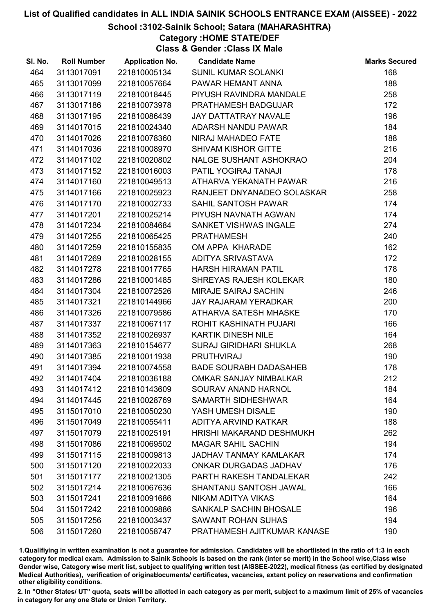### School :3102-Sainik School; Satara (MAHARASHTRA)

Category :HOME STATE/DEF

Class & Gender :Class IX Male

| SI. No. | <b>Roll Number</b> | <b>Application No.</b> | <b>Candidate Name</b>           | <b>Marks Secured</b> |
|---------|--------------------|------------------------|---------------------------------|----------------------|
| 464     | 3113017091         | 221810005134           | SUNIL KUMAR SOLANKI             | 168                  |
| 465     | 3113017099         | 221810057664           | PAWAR HEMANT ANNA               | 188                  |
| 466     | 3113017119         | 221810018445           | PIYUSH RAVINDRA MANDALE         | 258                  |
| 467     | 3113017186         | 221810073978           | PRATHAMESH BADGUJAR             | 172                  |
| 468     | 3113017195         | 221810086439           | <b>JAY DATTATRAY NAVALE</b>     | 196                  |
| 469     | 3114017015         | 221810024340           | ADARSH NANDU PAWAR              | 184                  |
| 470     | 3114017026         | 221810078360           | NIRAJ MAHADEO FATE              | 188                  |
| 471     | 3114017036         | 221810008970           | <b>SHIVAM KISHOR GITTE</b>      | 216                  |
| 472     | 3114017102         | 221810020802           | NALGE SUSHANT ASHOKRAO          | 204                  |
| 473     | 3114017152         | 221810016003           | PATIL YOGIRAJ TANAJI            | 178                  |
| 474     | 3114017160         | 221810049513           | ATHARVA YEKANATH PAWAR          | 216                  |
| 475     | 3114017166         | 221810025923           | RANJEET DNYANADEO SOLASKAR      | 258                  |
| 476     | 3114017170         | 221810002733           | SAHIL SANTOSH PAWAR             | 174                  |
| 477     | 3114017201         | 221810025214           | PIYUSH NAVNATH AGWAN            | 174                  |
| 478     | 3114017234         | 221810084684           | SANKET VISHWAS INGALE           | 274                  |
| 479     | 3114017255         | 221810065425           | <b>PRATHAMESH</b>               | 240                  |
| 480     | 3114017259         | 221810155835           | OM APPA KHARADE                 | 162                  |
| 481     | 3114017269         | 221810028155           | ADITYA SRIVASTAVA               | 172                  |
| 482     | 3114017278         | 221810017765           | <b>HARSH HIRAMAN PATIL</b>      | 178                  |
| 483     | 3114017286         | 221810001485           | <b>SHREYAS RAJESH KOLEKAR</b>   | 180                  |
| 484     | 3114017304         | 221810072526           | <b>MIRAJE SAIRAJ SACHIN</b>     | 246                  |
| 485     | 3114017321         | 221810144966           | <b>JAY RAJARAM YERADKAR</b>     | 200                  |
| 486     | 3114017326         | 221810079586           | ATHARVA SATESH MHASKE           | 170                  |
| 487     | 3114017337         | 221810067117           | ROHIT KASHINATH PUJARI          | 166                  |
| 488     | 3114017352         | 221810026937           | KARTIK DINESH NILE              | 164                  |
| 489     | 3114017363         | 221810154677           | <b>SURAJ GIRIDHARI SHUKLA</b>   | 268                  |
| 490     | 3114017385         | 221810011938           | <b>PRUTHVIRAJ</b>               | 190                  |
| 491     | 3114017394         | 221810074558           | <b>BADE SOURABH DADASAHEB</b>   | 178                  |
| 492     | 3114017404         | 221810036188           | OMKAR SANJAY NIMBALKAR          | 212                  |
| 493     | 3114017412         | 221810143609           | SOURAV ANAND HARNOL             | 184                  |
| 494     | 3114017445         | 221810028769           | <b>SAMARTH SIDHESHWAR</b>       | 164                  |
| 495     | 3115017010         | 221810050230           | YASH UMESH DISALE               | 190                  |
| 496     | 3115017049         | 221810055411           | ADITYA ARVIND KATKAR            | 188                  |
| 497     | 3115017079         | 221810025191           | <b>HRISHI MAKARAND DESHMUKH</b> | 262                  |
| 498     | 3115017086         | 221810069502           | <b>MAGAR SAHIL SACHIN</b>       | 194                  |
| 499     | 3115017115         | 221810009813           | <b>JADHAV TANMAY KAMLAKAR</b>   | 174                  |
| 500     | 3115017120         | 221810022033           | ONKAR DURGADAS JADHAV           | 176                  |
| 501     | 3115017177         | 221810021305           | PARTH RAKESH TANDALEKAR         | 242                  |
| 502     | 3115017214         | 221810067636           | SHANTANU SANTOSH JAWAL          | 166                  |
| 503     | 3115017241         | 221810091686           | NIKAM ADITYA VIKAS              | 164                  |
| 504     | 3115017242         | 221810009886           | SANKALP SACHIN BHOSALE          | 196                  |
| 505     | 3115017256         | 221810003437           | <b>SAWANT ROHAN SUHAS</b>       | 194                  |
| 506     | 3115017260         | 221810058747           | PRATHAMESH AJITKUMAR KANASE     | 190                  |

1.Qualifiying in written examination is not a guarantee for admission. Candidates will be shortlisted in the ratio of 1:3 in each category for medical exam. Admission to Sainik Schools is based on the rank (inter se merit) in the School wise,Class wise Gender wise, Category wise merit list, subject to qualifying written test (AISSEE-2022), medical fitness (as certified by designated Medical Authorities), verification of originablocuments/ certificates, vacancies, extant policy on reservations and confirmation other eligibility conditions.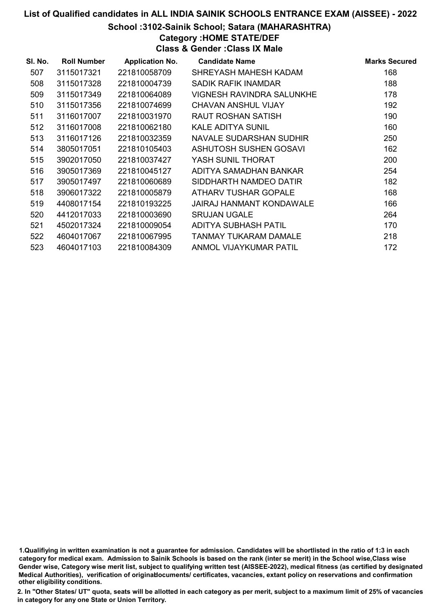# School :3102-Sainik School; Satara (MAHARASHTRA)

Category :HOME STATE/DEF

Class & Gender :Class IX Male

| SI. No. | <b>Roll Number</b> | <b>Application No.</b> | <b>Candidate Name</b>        | <b>Marks Secured</b> |
|---------|--------------------|------------------------|------------------------------|----------------------|
| 507     | 3115017321         | 221810058709           | SHREYASH MAHESH KADAM        | 168                  |
| 508     | 3115017328         | 221810004739           | SADIK RAFIK INAMDAR          | 188                  |
| 509     | 3115017349         | 221810064089           | VIGNESH RAVINDRA SALUNKHE    | 178                  |
| 510     | 3115017356         | 221810074699           | <b>CHAVAN ANSHUL VIJAY</b>   | 192                  |
| 511     | 3116017007         | 221810031970           | RAUT ROSHAN SATISH           | 190                  |
| 512     | 3116017008         | 221810062180           | <b>KALE ADITYA SUNIL</b>     | 160                  |
| 513     | 3116017126         | 221810032359           | NAVALE SUDARSHAN SUDHIR      | 250                  |
| 514     | 3805017051         | 221810105403           | ASHUTOSH SUSHEN GOSAVI       | 162                  |
| 515     | 3902017050         | 221810037427           | YASH SUNIL THORAT            | 200                  |
| 516     | 3905017369         | 221810045127           | ADITYA SAMADHAN BANKAR       | 254                  |
| 517     | 3905017497         | 221810060689           | SIDDHARTH NAMDEO DATIR       | 182                  |
| 518     | 3906017322         | 221810005879           | ATHARV TUSHAR GOPALE         | 168                  |
| 519     | 4408017154         | 221810193225           | JAIRAJ HANMANT KONDAWALE     | 166                  |
| 520     | 4412017033         | 221810003690           | <b>SRUJAN UGALE</b>          | 264                  |
| 521     | 4502017324         | 221810009054           | ADITYA SUBHASH PATIL         | 170                  |
| 522     | 4604017067         | 221810067995           | <b>TANMAY TUKARAM DAMALE</b> | 218                  |
| 523     | 4604017103         | 221810084309           | ANMOL VIJAYKUMAR PATIL       | 172                  |

<sup>1.</sup>Qualifiying in written examination is not a guarantee for admission. Candidates will be shortlisted in the ratio of 1:3 in each category for medical exam. Admission to Sainik Schools is based on the rank (inter se merit) in the School wise,Class wise Gender wise, Category wise merit list, subject to qualifying written test (AISSEE-2022), medical fitness (as certified by designated Medical Authorities), verification of originablocuments/ certificates, vacancies, extant policy on reservations and confirmation other eligibility conditions.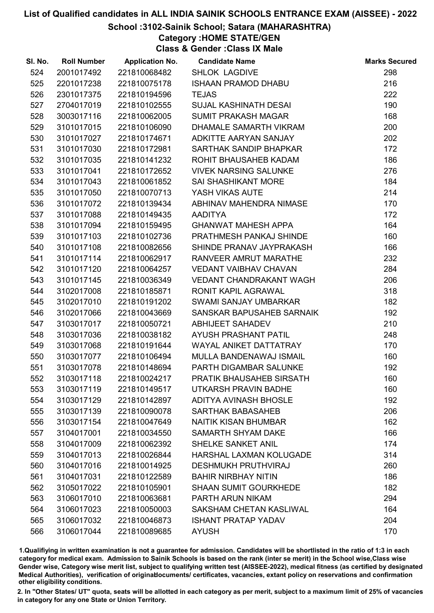# School :3102-Sainik School; Satara (MAHARASHTRA)

Category :HOME STATE/GEN

Class & Gender :Class IX Male

| SI. No. | <b>Roll Number</b> | <b>Application No.</b> | <b>Candidate Name</b>        | <b>Marks Secured</b> |
|---------|--------------------|------------------------|------------------------------|----------------------|
| 524     | 2001017492         | 221810068482           | <b>SHLOK LAGDIVE</b>         | 298                  |
| 525     | 2201017238         | 221810075178           | <b>ISHAAN PRAMOD DHABU</b>   | 216                  |
| 526     | 2301017375         | 221810194596           | <b>TEJAS</b>                 | 222                  |
| 527     | 2704017019         | 221810102555           | <b>SUJAL KASHINATH DESAI</b> | 190                  |
| 528     | 3003017116         | 221810062005           | <b>SUMIT PRAKASH MAGAR</b>   | 168                  |
| 529     | 3101017015         | 221810106090           | DHAMALE SAMARTH VIKRAM       | 200                  |
| 530     | 3101017027         | 221810174671           | ADKITTE AARYAN SANJAY        | 202                  |
| 531     | 3101017030         | 221810172981           | SARTHAK SANDIP BHAPKAR       | 172                  |
| 532     | 3101017035         | 221810141232           | ROHIT BHAUSAHEB KADAM        | 186                  |
| 533     | 3101017041         | 221810172652           | <b>VIVEK NARSING SALUNKE</b> | 276                  |
| 534     | 3101017043         | 221810061852           | <b>SAI SHASHIKANT MORE</b>   | 184                  |
| 535     | 3101017050         | 221810070713           | YASH VIKAS AUTE              | 214                  |
| 536     | 3101017072         | 221810139434           | ABHINAV MAHENDRA NIMASE      | 170                  |
| 537     | 3101017088         | 221810149435           | <b>AADITYA</b>               | 172                  |
| 538     | 3101017094         | 221810159495           | <b>GHANWAT MAHESH APPA</b>   | 164                  |
| 539     | 3101017103         | 221810102736           | PRATHMESH PANKAJ SHINDE      | 160                  |
| 540     | 3101017108         | 221810082656           | SHINDE PRANAV JAYPRAKASH     | 166                  |
| 541     | 3101017114         | 221810062917           | RANVEER AMRUT MARATHE        | 232                  |
| 542     | 3101017120         | 221810064257           | <b>VEDANT VAIBHAV CHAVAN</b> | 284                  |
| 543     | 3101017145         | 221810036349           | VEDANT CHANDRAKANT WAGH      | 206                  |
| 544     | 3102017008         | 221810185871           | RONIT KAPIL AGRAWAL          | 318                  |
| 545     | 3102017010         | 221810191202           | <b>SWAMI SANJAY UMBARKAR</b> | 182                  |
| 546     | 3102017066         | 221810043669           | SANSKAR BAPUSAHEB SARNAIK    | 192                  |
| 547     | 3103017017         | 221810050721           | <b>ABHIJEET SAHADEV</b>      | 210                  |
| 548     | 3103017036         | 221810038182           | AYUSH PRASHANT PATIL         | 248                  |
| 549     | 3103017068         | 221810191644           | WAYAL ANIKET DATTATRAY       | 170                  |
| 550     | 3103017077         | 221810106494           | MULLA BANDENAWAJ ISMAIL      | 160                  |
| 551     | 3103017078         | 221810148694           | PARTH DIGAMBAR SALUNKE       | 192                  |
| 552     | 3103017118         | 221810024217           | PRATIK BHAUSAHEB SIRSATH     | 160                  |
| 553     | 3103017119         | 221810149517           | UTKARSH PRAVIN BADHE         | 160                  |
| 554     | 3103017129         | 221810142897           | <b>ADITYA AVINASH BHOSLE</b> | 192                  |
| 555     | 3103017139         | 221810090078           | <b>SARTHAK BABASAHEB</b>     | 206                  |
| 556     | 3103017154         | 221810047649           | <b>NAITIK KISAN BHUMBAR</b>  | 162                  |
| 557     | 3104017001         | 221810034550           | SAMARTH SHYAM DAKE           | 166                  |
| 558     | 3104017009         | 221810062392           | SHELKE SANKET ANIL           | 174                  |
| 559     | 3104017013         | 221810026844           | HARSHAL LAXMAN KOLUGADE      | 314                  |
| 560     | 3104017016         | 221810014925           | <b>DESHMUKH PRUTHVIRAJ</b>   | 260                  |
| 561     | 3104017031         | 221810122589           | <b>BAHIR NIRBHAY NITIN</b>   | 186                  |
| 562     | 3105017022         | 221810105901           | <b>SHAAN SUMIT GOURKHEDE</b> | 182                  |
| 563     | 3106017010         | 221810063681           | PARTH ARUN NIKAM             | 294                  |
| 564     | 3106017023         | 221810050003           | SAKSHAM CHETAN KASLIWAL      | 164                  |
| 565     | 3106017032         | 221810046873           | <b>ISHANT PRATAP YADAV</b>   | 204                  |
| 566     | 3106017044         | 221810089685           | <b>AYUSH</b>                 | 170                  |

1.Qualifiying in written examination is not a guarantee for admission. Candidates will be shortlisted in the ratio of 1:3 in each category for medical exam. Admission to Sainik Schools is based on the rank (inter se merit) in the School wise,Class wise Gender wise, Category wise merit list, subject to qualifying written test (AISSEE-2022), medical fitness (as certified by designated Medical Authorities), verification of originablocuments/ certificates, vacancies, extant policy on reservations and confirmation other eligibility conditions.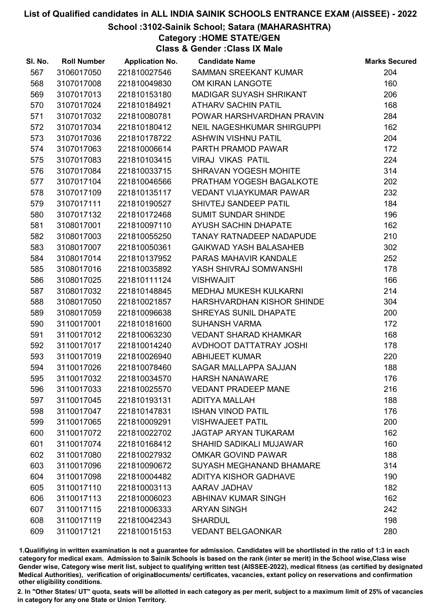# School :3102-Sainik School; Satara (MAHARASHTRA)

Category :HOME STATE/GEN

Class & Gender :Class IX Male

| SI. No. | <b>Roll Number</b> | <b>Application No.</b> | <b>Candidate Name</b>             | <b>Marks Secured</b> |
|---------|--------------------|------------------------|-----------------------------------|----------------------|
| 567     | 3106017050         | 221810027546           | SAMMAN SREEKANT KUMAR             | 204                  |
| 568     | 3107017008         | 221810049830           | OM KIRAN LANGOTE                  | 160                  |
| 569     | 3107017013         | 221810153180           | <b>MADIGAR SUYASH SHRIKANT</b>    | 206                  |
| 570     | 3107017024         | 221810184921           | <b>ATHARV SACHIN PATIL</b>        | 168                  |
| 571     | 3107017032         | 221810080781           | POWAR HARSHVARDHAN PRAVIN         | 284                  |
| 572     | 3107017034         | 221810180412           | <b>NEIL NAGESHKUMAR SHIRGUPPI</b> | 162                  |
| 573     | 3107017036         | 221810178722           | <b>ASHWIN VISHNU PATIL</b>        | 204                  |
| 574     | 3107017063         | 221810006614           | PARTH PRAMOD PAWAR                | 172                  |
| 575     | 3107017083         | 221810103415           | <b>VIRAJ VIKAS PATIL</b>          | 224                  |
| 576     | 3107017084         | 221810033715           | SHRAVAN YOGESH MOHITE             | 314                  |
| 577     | 3107017104         | 221810046566           | PRATHAM YOGESH BAGALKOTE          | 202                  |
| 578     | 3107017109         | 221810135117           | <b>VEDANT VIJAYKUMAR PAWAR</b>    | 232                  |
| 579     | 3107017111         | 221810190527           | SHIVTEJ SANDEEP PATIL             | 184                  |
| 580     | 3107017132         | 221810172468           | <b>SUMIT SUNDAR SHINDE</b>        | 196                  |
| 581     | 3108017001         | 221810097110           | AYUSH SACHIN DHAPATE              | 162                  |
| 582     | 3108017003         | 221810055250           | TANAY RATNADEEP NADAPUDE          | 210                  |
| 583     | 3108017007         | 221810050361           | <b>GAIKWAD YASH BALASAHEB</b>     | 302                  |
| 584     | 3108017014         | 221810137952           | PARAS MAHAVIR KANDALE             | 252                  |
| 585     | 3108017016         | 221810035892           | YASH SHIVRAJ SOMWANSHI            | 178                  |
| 586     | 3108017025         | 221810111124           | <b>VISHWAJIT</b>                  | 166                  |
| 587     | 3108017032         | 221810148845           | MEDHAJ MUKESH KULKARNI            | 214                  |
| 588     | 3108017050         | 221810021857           | HARSHVARDHAN KISHOR SHINDE        | 304                  |
| 589     | 3108017059         | 221810096638           | SHREYAS SUNIL DHAPATE             | 200                  |
| 590     | 3110017001         | 221810181600           | <b>SUHANSH VARMA</b>              | 172                  |
| 591     | 3110017012         | 221810063230           | <b>VEDANT SHARAD KHAMKAR</b>      | 168                  |
| 592     | 3110017017         | 221810014240           | AVDHOOT DATTATRAY JOSHI           | 178                  |
| 593     | 3110017019         | 221810026940           | <b>ABHIJEET KUMAR</b>             | 220                  |
| 594     | 3110017026         | 221810078460           | <b>SAGAR MALLAPPA SAJJAN</b>      | 188                  |
| 595     | 3110017032         | 221810034570           | <b>HARSH NANAWARE</b>             | 176                  |
| 596     | 3110017033         | 221810025570           | <b>VEDANT PRADEEP MANE</b>        | 216                  |
| 597     | 3110017045         | 221810193131           | <b>ADITYA MALLAH</b>              | 188                  |
| 598     | 3110017047         | 221810147831           | <b>ISHAN VINOD PATIL</b>          | 176                  |
| 599     | 3110017065         | 221810009291           | <b>VISHWAJEET PATIL</b>           | 200                  |
| 600     | 3110017072         | 221810022702           | <b>JAGTAP ARYAN TUKARAM</b>       | 162                  |
| 601     | 3110017074         | 221810168412           | <b>SHAHID SADIKALI MUJAWAR</b>    | 160                  |
| 602     | 3110017080         | 221810027932           | <b>OMKAR GOVIND PAWAR</b>         | 188                  |
| 603     | 3110017096         | 221810090672           | SUYASH MEGHANAND BHAMARE          | 314                  |
| 604     | 3110017098         | 221810004482           | ADITYA KISHOR GADHAVE             | 190                  |
| 605     | 3110017110         | 221810003113           | AARAV JADHAV                      | 182                  |
| 606     | 3110017113         | 221810006023           | <b>ABHINAV KUMAR SINGH</b>        | 162                  |
| 607     | 3110017115         | 221810006333           | <b>ARYAN SINGH</b>                | 242                  |
| 608     | 3110017119         | 221810042343           | <b>SHARDUL</b>                    | 198                  |
| 609     | 3110017121         | 221810015153           | <b>VEDANT BELGAONKAR</b>          | 280                  |

1.Qualifiying in written examination is not a guarantee for admission. Candidates will be shortlisted in the ratio of 1:3 in each category for medical exam. Admission to Sainik Schools is based on the rank (inter se merit) in the School wise,Class wise Gender wise, Category wise merit list, subject to qualifying written test (AISSEE-2022), medical fitness (as certified by designated Medical Authorities), verification of originablocuments/ certificates, vacancies, extant policy on reservations and confirmation other eligibility conditions.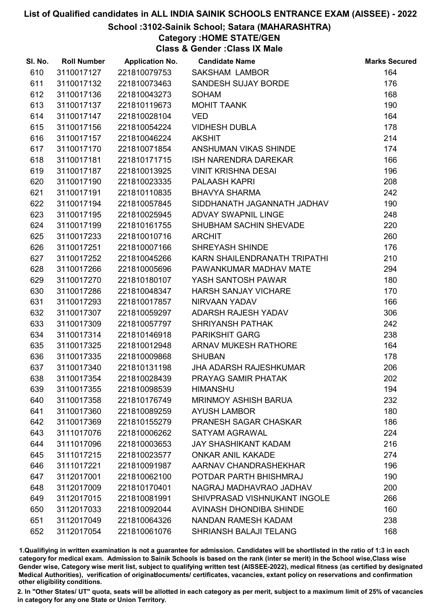# School :3102-Sainik School; Satara (MAHARASHTRA)

# Category :HOME STATE/GEN

Class & Gender :Class IX Male

| SI. No. | <b>Roll Number</b> | <b>Application No.</b> | <b>Candidate Name</b>         | <b>Marks Secured</b> |
|---------|--------------------|------------------------|-------------------------------|----------------------|
| 610     | 3110017127         | 221810079753           | <b>SAKSHAM LAMBOR</b>         | 164                  |
| 611     | 3110017132         | 221810073463           | SANDESH SUJAY BORDE           | 176                  |
| 612     | 3110017136         | 221810043273           | <b>SOHAM</b>                  | 168                  |
| 613     | 3110017137         | 221810119673           | <b>MOHIT TAANK</b>            | 190                  |
| 614     | 3110017147         | 221810028104           | <b>VED</b>                    | 164                  |
| 615     | 3110017156         | 221810054224           | <b>VIDHESH DUBLA</b>          | 178                  |
| 616     | 3110017157         | 221810046224           | <b>AKSHIT</b>                 | 214                  |
| 617     | 3110017170         | 221810071854           | ANSHUMAN VIKAS SHINDE         | 174                  |
| 618     | 3110017181         | 221810171715           | <b>ISH NARENDRA DAREKAR</b>   | 166                  |
| 619     | 3110017187         | 221810013925           | <b>VINIT KRISHNA DESAI</b>    | 196                  |
| 620     | 3110017190         | 221810023335           | PALAASH KAPRI                 | 208                  |
| 621     | 3110017191         | 221810110835           | <b>BHAVYA SHARMA</b>          | 242                  |
| 622     | 3110017194         | 221810057845           | SIDDHANATH JAGANNATH JADHAV   | 190                  |
| 623     | 3110017195         | 221810025945           | <b>ADVAY SWAPNIL LINGE</b>    | 248                  |
| 624     | 3110017199         | 221810161755           | SHUBHAM SACHIN SHEVADE        | 220                  |
| 625     | 3110017233         | 221810010716           | <b>ARCHIT</b>                 | 260                  |
| 626     | 3110017251         | 221810007166           | <b>SHREYASH SHINDE</b>        | 176                  |
| 627     | 3110017252         | 221810045266           | KARN SHAILENDRANATH TRIPATHI  | 210                  |
| 628     | 3110017266         | 221810005696           | PAWANKUMAR MADHAV MATE        | 294                  |
| 629     | 3110017270         | 221810180107           | YASH SANTOSH PAWAR            | 180                  |
| 630     | 3110017286         | 221810048347           | <b>HARSH SANJAY VICHARE</b>   | 170                  |
| 631     | 3110017293         | 221810017857           | NIRVAAN YADAV                 | 166                  |
| 632     | 3110017307         | 221810059297           | ADARSH RAJESH YADAV           | 306                  |
| 633     | 3110017309         | 221810057797           | <b>SHRIYANSH PATHAK</b>       | 242                  |
| 634     | 3110017314         | 221810146918           | <b>PARIKSHIT GARG</b>         | 238                  |
| 635     | 3110017325         | 221810012948           | <b>ARNAV MUKESH RATHORE</b>   | 164                  |
| 636     | 3110017335         | 221810009868           | <b>SHUBAN</b>                 | 178                  |
| 637     | 3110017340         | 221810131198           | <b>JHA ADARSH RAJESHKUMAR</b> | 206                  |
| 638     | 3110017354         | 221810028439           | PRAYAG SAMIR PHATAK           | 202                  |
| 639     | 3110017355         | 221810098539           | <b>HIMANSHU</b>               | 194                  |
| 640     | 3110017358         | 221810176749           | <b>MRINMOY ASHISH BARUA</b>   | 232                  |
| 641     | 3110017360         | 221810089259           | <b>AYUSH LAMBOR</b>           | 180                  |
| 642     | 3110017369         | 221810155279           | PRANESH SAGAR CHASKAR         | 186                  |
| 643     | 3111017076         | 221810006262           | <b>SATYAM AGRAWAL</b>         | 224                  |
| 644     | 3111017096         | 221810003653           | <b>JAY SHASHIKANT KADAM</b>   | 216                  |
| 645     | 3111017215         | 221810023577           | <b>ONKAR ANIL KAKADE</b>      | 274                  |
| 646     | 3111017221         | 221810091987           | AARNAV CHANDRASHEKHAR         | 196                  |
| 647     | 3112017001         | 221810062100           | POTDAR PARTH BHISHMRAJ        | 190                  |
| 648     | 3112017009         | 221810170401           | NAGRAJ MADHAVRAO JADHAV       | 200                  |
| 649     | 3112017015         | 221810081991           | SHIVPRASAD VISHNUKANT INGOLE  | 266                  |
| 650     | 3112017033         | 221810092044           | AVINASH DHONDIBA SHINDE       | 160                  |
| 651     | 3112017049         | 221810064326           | NANDAN RAMESH KADAM           | 238                  |
| 652     | 3112017054         | 221810061076           | <b>SHRIANSH BALAJI TELANG</b> | 168                  |

1.Qualifiying in written examination is not a guarantee for admission. Candidates will be shortlisted in the ratio of 1:3 in each category for medical exam. Admission to Sainik Schools is based on the rank (inter se merit) in the School wise,Class wise Gender wise, Category wise merit list, subject to qualifying written test (AISSEE-2022), medical fitness (as certified by designated Medical Authorities), verification of originablocuments/ certificates, vacancies, extant policy on reservations and confirmation other eligibility conditions.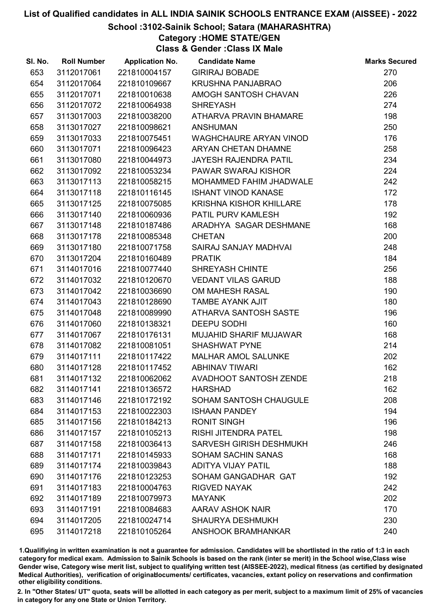# School :3102-Sainik School; Satara (MAHARASHTRA)

Category :HOME STATE/GEN

Class & Gender :Class IX Male

| SI. No. | <b>Roll Number</b> | <b>Application No.</b> | <b>Candidate Name</b>          | <b>Marks Secured</b> |
|---------|--------------------|------------------------|--------------------------------|----------------------|
| 653     | 3112017061         | 221810004157           | <b>GIRIRAJ BOBADE</b>          | 270                  |
| 654     | 3112017064         | 221810109667           | <b>KRUSHNA PANJABRAO</b>       | 206                  |
| 655     | 3112017071         | 221810010638           | AMOGH SANTOSH CHAVAN           | 226                  |
| 656     | 3112017072         | 221810064938           | <b>SHREYASH</b>                | 274                  |
| 657     | 3113017003         | 221810038200           | ATHARVA PRAVIN BHAMARE         | 198                  |
| 658     | 3113017027         | 221810098621           | <b>ANSHUMAN</b>                | 250                  |
| 659     | 3113017033         | 221810075451           | <b>WAGHCHAURE ARYAN VINOD</b>  | 176                  |
| 660     | 3113017071         | 221810096423           | ARYAN CHETAN DHAMNE            | 258                  |
| 661     | 3113017080         | 221810044973           | <b>JAYESH RAJENDRA PATIL</b>   | 234                  |
| 662     | 3113017092         | 221810053234           | PAWAR SWARAJ KISHOR            | 224                  |
| 663     | 3113017113         | 221810058215           | MOHAMMED FAHIM JHADWALE        | 242                  |
| 664     | 3113017118         | 221810116145           | <b>ISHANT VINOD KANASE</b>     | 172                  |
| 665     | 3113017125         | 221810075085           | KRISHNA KISHOR KHILLARE        | 178                  |
| 666     | 3113017140         | 221810060936           | PATIL PURV KAMLESH             | 192                  |
| 667     | 3113017148         | 221810187486           | ARADHYA SAGAR DESHMANE         | 168                  |
| 668     | 3113017178         | 221810085348           | <b>CHETAN</b>                  | 200                  |
| 669     | 3113017180         | 221810071758           | SAIRAJ SANJAY MADHVAI          | 248                  |
| 670     | 3113017204         | 221810160489           | <b>PRATIK</b>                  | 184                  |
| 671     | 3114017016         | 221810077440           | SHREYASH CHINTE                | 256                  |
| 672     | 3114017032         | 221810120670           | <b>VEDANT VILAS GARUD</b>      | 188                  |
| 673     | 3114017042         | 221810036690           | OM MAHESH RASAL                | 190                  |
| 674     | 3114017043         | 221810128690           | <b>TAMBE AYANK AJIT</b>        | 180                  |
| 675     | 3114017048         | 221810089990           | ATHARVA SANTOSH SASTE          | 196                  |
| 676     | 3114017060         | 221810138321           | <b>DEEPU SODHI</b>             | 160                  |
| 677     | 3114017067         | 221810176131           | <b>MUJAHID SHARIF MUJAWAR</b>  | 168                  |
| 678     | 3114017082         | 221810081051           | <b>SHASHWAT PYNE</b>           | 214                  |
| 679     | 3114017111         | 221810117422           | <b>MALHAR AMOL SALUNKE</b>     | 202                  |
| 680     | 3114017128         | 221810117452           | <b>ABHINAV TIWARI</b>          | 162                  |
| 681     | 3114017132         | 221810062062           | <b>AVADHOOT SANTOSH ZENDE</b>  | 218                  |
| 682     | 3114017141         | 221810136572           | <b>HARSHAD</b>                 | 162                  |
| 683     | 3114017146         | 221810172192           | SOHAM SANTOSH CHAUGULE         | 208                  |
| 684     | 3114017153         | 221810022303           | <b>ISHAAN PANDEY</b>           | 194                  |
| 685     | 3114017156         | 221810184213           | <b>RONIT SINGH</b>             | 196                  |
| 686     | 3114017157         | 221810105213           | <b>RISHI JITENDRA PATEL</b>    | 198                  |
| 687     | 3114017158         | 221810036413           | <b>SARVESH GIRISH DESHMUKH</b> | 246                  |
| 688     | 3114017171         | 221810145933           | <b>SOHAM SACHIN SANAS</b>      | 168                  |
| 689     | 3114017174         | 221810039843           | <b>ADITYA VIJAY PATIL</b>      | 188                  |
| 690     | 3114017176         | 221810123253           | SOHAM GANGADHAR GAT            | 192                  |
| 691     | 3114017183         | 221810004763           | <b>RIGVED NAYAK</b>            | 242                  |
| 692     | 3114017189         | 221810079973           | <b>MAYANK</b>                  | 202                  |
| 693     | 3114017191         | 221810084683           | AARAV ASHOK NAIR               | 170                  |
| 694     | 3114017205         | 221810024714           | <b>SHAURYA DESHMUKH</b>        | 230                  |
| 695     | 3114017218         | 221810105264           | <b>ANSHOOK BRAMHANKAR</b>      | 240                  |

1.Qualifiying in written examination is not a guarantee for admission. Candidates will be shortlisted in the ratio of 1:3 in each category for medical exam. Admission to Sainik Schools is based on the rank (inter se merit) in the School wise,Class wise Gender wise, Category wise merit list, subject to qualifying written test (AISSEE-2022), medical fitness (as certified by designated Medical Authorities), verification of originablocuments/ certificates, vacancies, extant policy on reservations and confirmation other eligibility conditions.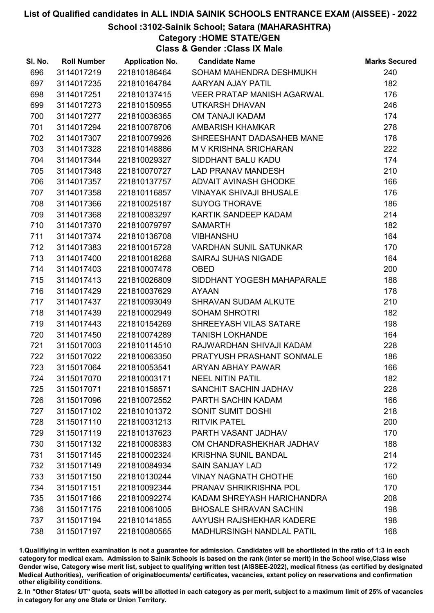### School :3102-Sainik School; Satara (MAHARASHTRA)

Category :HOME STATE/GEN

Class & Gender :Class IX Male

| SI. No. | <b>Roll Number</b> | <b>Application No.</b> | <b>Candidate Name</b>             | <b>Marks Secured</b> |
|---------|--------------------|------------------------|-----------------------------------|----------------------|
| 696     | 3114017219         | 221810186464           | SOHAM MAHENDRA DESHMUKH           | 240                  |
| 697     | 3114017235         | 221810164784           | AARYAN AJAY PATIL                 | 182                  |
| 698     | 3114017251         | 221810137415           | <b>VEER PRATAP MANISH AGARWAL</b> | 176                  |
| 699     | 3114017273         | 221810150955           | <b>UTKARSH DHAVAN</b>             | 246                  |
| 700     | 3114017277         | 221810036365           | <b>OM TANAJI KADAM</b>            | 174                  |
| 701     | 3114017294         | 221810078706           | <b>AMBARISH KHAMKAR</b>           | 278                  |
| 702     | 3114017307         | 221810079926           | SHREESHANT DADASAHEB MANE         | 178                  |
| 703     | 3114017328         | 221810148886           | M V KRISHNA SRICHARAN             | 222                  |
| 704     | 3114017344         | 221810029327           | SIDDHANT BALU KADU                | 174                  |
| 705     | 3114017348         | 221810070727           | <b>LAD PRANAV MANDESH</b>         | 210                  |
| 706     | 3114017357         | 221810137757           | ADVAIT AVINASH GHODKE             | 166                  |
| 707     | 3114017358         | 221810116857           | <b>VINAYAK SHIVAJI BHUSALE</b>    | 176                  |
| 708     | 3114017366         | 221810025187           | <b>SUYOG THORAVE</b>              | 186                  |
| 709     | 3114017368         | 221810083297           | KARTIK SANDEEP KADAM              | 214                  |
| 710     | 3114017370         | 221810079797           | <b>SAMARTH</b>                    | 182                  |
| 711     | 3114017374         | 221810136708           | <b>VIBHANSHU</b>                  | 164                  |
| 712     | 3114017383         | 221810015728           | <b>VARDHAN SUNIL SATUNKAR</b>     | 170                  |
| 713     | 3114017400         | 221810018268           | <b>SAIRAJ SUHAS NIGADE</b>        | 164                  |
| 714     | 3114017403         | 221810007478           | <b>OBED</b>                       | 200                  |
| 715     | 3114017413         | 221810026809           | SIDDHANT YOGESH MAHAPARALE        | 188                  |
| 716     | 3114017429         | 221810037629           | <b>AYAAN</b>                      | 178                  |
| 717     | 3114017437         | 221810093049           | <b>SHRAVAN SUDAM ALKUTE</b>       | 210                  |
| 718     | 3114017439         | 221810002949           | <b>SOHAM SHROTRI</b>              | 182                  |
| 719     | 3114017443         | 221810154269           | SHREEYASH VILAS SATARE            | 198                  |
| 720     | 3114017450         | 221810074289           | <b>TANISH LOKHANDE</b>            | 164                  |
| 721     | 3115017003         | 221810114510           | RAJWARDHAN SHIVAJI KADAM          | 228                  |
| 722     | 3115017022         | 221810063350           | PRATYUSH PRASHANT SONMALE         | 186                  |
| 723     | 3115017064         | 221810053541           | ARYAN ABHAY PAWAR                 | 166                  |
| 724     | 3115017070         | 221810003171           | <b>NEEL NITIN PATIL</b>           | 182                  |
| 725     | 3115017071         | 221810158571           | <b>SANCHIT SACHIN JADHAV</b>      | 228                  |
| 726     | 3115017096         | 221810072552           | PARTH SACHIN KADAM                | 166                  |
| 727     | 3115017102         | 221810101372           | SONIT SUMIT DOSHI                 | 218                  |
| 728     | 3115017110         | 221810031213           | <b>RITVIK PATEL</b>               | 200                  |
| 729     | 3115017119         | 221810137623           | PARTH VASANT JADHAV               | 170                  |
| 730     | 3115017132         | 221810008383           | OM CHANDRASHEKHAR JADHAV          | 188                  |
| 731     | 3115017145         | 221810002324           | <b>KRISHNA SUNIL BANDAL</b>       | 214                  |
| 732     | 3115017149         | 221810084934           | <b>SAIN SANJAY LAD</b>            | 172                  |
| 733     | 3115017150         | 221810130244           | <b>VINAY NAGNATH CHOTHE</b>       | 160                  |
| 734     | 3115017151         | 221810092344           | PRANAV SHRIKRISHNA POL            | 170                  |
| 735     | 3115017166         | 221810092274           | KADAM SHREYASH HARICHANDRA        | 208                  |
| 736     | 3115017175         | 221810061005           | <b>BHOSALE SHRAVAN SACHIN</b>     | 198                  |
| 737     | 3115017194         | 221810141855           | AAYUSH RAJSHEKHAR KADERE          | 198                  |
| 738     | 3115017197         | 221810080565           | <b>MADHURSINGH NANDLAL PATIL</b>  | 168                  |

1.Qualifiying in written examination is not a guarantee for admission. Candidates will be shortlisted in the ratio of 1:3 in each category for medical exam. Admission to Sainik Schools is based on the rank (inter se merit) in the School wise,Class wise Gender wise, Category wise merit list, subject to qualifying written test (AISSEE-2022), medical fitness (as certified by designated Medical Authorities), verification of originablocuments/ certificates, vacancies, extant policy on reservations and confirmation other eligibility conditions.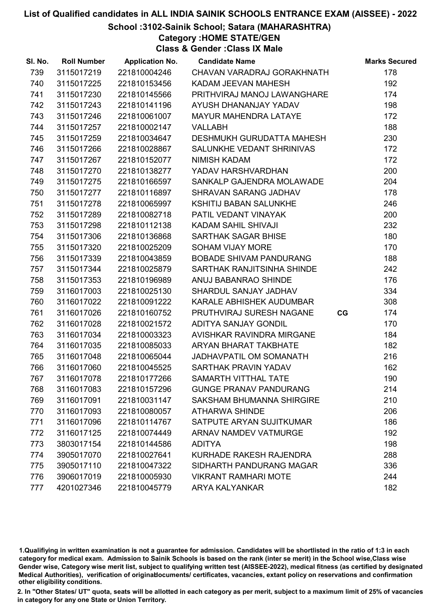# School :3102-Sainik School; Satara (MAHARASHTRA)

Category :HOME STATE/GEN

Class & Gender :Class IX Male

| SI. No. | <b>Roll Number</b> | <b>Application No.</b> | <b>Candidate Name</b>            |    | <b>Marks Secured</b> |
|---------|--------------------|------------------------|----------------------------------|----|----------------------|
| 739     | 3115017219         | 221810004246           | CHAVAN VARADRAJ GORAKHNATH       |    | 178                  |
| 740     | 3115017225         | 221810153456           | KADAM JEEVAN MAHESH              |    | 192                  |
| 741     | 3115017230         | 221810145566           | PRITHVIRAJ MANOJ LAWANGHARE      |    | 174                  |
| 742     | 3115017243         | 221810141196           | AYUSH DHANANJAY YADAV            |    | 198                  |
| 743     | 3115017246         | 221810061007           | <b>MAYUR MAHENDRA LATAYE</b>     |    | 172                  |
| 744     | 3115017257         | 221810002147           | <b>VALLABH</b>                   |    | 188                  |
| 745     | 3115017259         | 221810034647           | <b>DESHMUKH GURUDATTA MAHESH</b> |    | 230                  |
| 746     | 3115017266         | 221810028867           | SALUNKHE VEDANT SHRINIVAS        |    | 172                  |
| 747     | 3115017267         | 221810152077           | <b>NIMISH KADAM</b>              |    | 172                  |
| 748     | 3115017270         | 221810138277           | YADAV HARSHVARDHAN               |    | 200                  |
| 749     | 3115017275         | 221810166597           | SANKALP GAJENDRA MOLAWADE        |    | 204                  |
| 750     | 3115017277         | 221810116897           | SHRAVAN SARANG JADHAV            |    | 178                  |
| 751     | 3115017278         | 221810065997           | KSHITIJ BABAN SALUNKHE           |    | 246                  |
| 752     | 3115017289         | 221810082718           | PATIL VEDANT VINAYAK             |    | 200                  |
| 753     | 3115017298         | 221810112138           | KADAM SAHIL SHIVAJI              |    | 232                  |
| 754     | 3115017306         | 221810136868           | SARTHAK SAGAR BHISE              |    | 180                  |
| 755     | 3115017320         | 221810025209           | <b>SOHAM VIJAY MORE</b>          |    | 170                  |
| 756     | 3115017339         | 221810043859           | <b>BOBADE SHIVAM PANDURANG</b>   |    | 188                  |
| 757     | 3115017344         | 221810025879           | SARTHAK RANJITSINHA SHINDE       |    | 242                  |
| 758     | 3115017353         | 221810196989           | ANUJ BABANRAO SHINDE             |    | 176                  |
| 759     | 3116017003         | 221810025130           | SHARDUL SANJAY JADHAV            |    | 334                  |
| 760     | 3116017022         | 221810091222           | KARALE ABHISHEK AUDUMBAR         |    | 308                  |
| 761     | 3116017026         | 221810160752           | PRUTHVIRAJ SURESH NAGANE         | CG | 174                  |
| 762     | 3116017028         | 221810021572           | ADITYA SANJAY GONDIL             |    | 170                  |
| 763     | 3116017034         | 221810003323           | AVISHKAR RAVINDRA MIRGANE        |    | 184                  |
| 764     | 3116017035         | 221810085033           | <b>ARYAN BHARAT TAKBHATE</b>     |    | 182                  |
| 765     | 3116017048         | 221810065044           | JADHAVPATIL OM SOMANATH          |    | 216                  |
| 766     | 3116017060         | 221810045525           | SARTHAK PRAVIN YADAV             |    | 162                  |
| 767     | 3116017078         | 221810177266           | SAMARTH VITTHAL TATE             |    | 190                  |
| 768     | 3116017083         | 221810157296           | <b>GUNGE PRANAV PANDURANG</b>    |    | 214                  |
| 769     | 3116017091         | 221810031147           | SAKSHAM BHUMANNA SHIRGIRE        |    | 210                  |
| 770     | 3116017093         | 221810080057           | <b>ATHARWA SHINDE</b>            |    | 206                  |
| 771     | 3116017096         | 221810114767           | SATPUTE ARYAN SUJITKUMAR         |    | 186                  |
| 772     | 3116017125         | 221810074449           | <b>ARNAV NAMDEV VATMURGE</b>     |    | 192                  |
| 773     | 3803017154         | 221810144586           | <b>ADITYA</b>                    |    | 198                  |
| 774     | 3905017070         | 221810027641           | KURHADE RAKESH RAJENDRA          |    | 288                  |
| 775     | 3905017110         | 221810047322           | SIDHARTH PANDURANG MAGAR         |    | 336                  |
| 776     | 3906017019         | 221810005930           | <b>VIKRANT RAMHARI MOTE</b>      |    | 244                  |
| 777     | 4201027346         | 221810045779           | <b>ARYA KALYANKAR</b>            |    | 182                  |

1.Qualifiying in written examination is not a guarantee for admission. Candidates will be shortlisted in the ratio of 1:3 in each category for medical exam. Admission to Sainik Schools is based on the rank (inter se merit) in the School wise,Class wise Gender wise, Category wise merit list, subject to qualifying written test (AISSEE-2022), medical fitness (as certified by designated Medical Authorities), verification of originablocuments/ certificates, vacancies, extant policy on reservations and confirmation other eligibility conditions.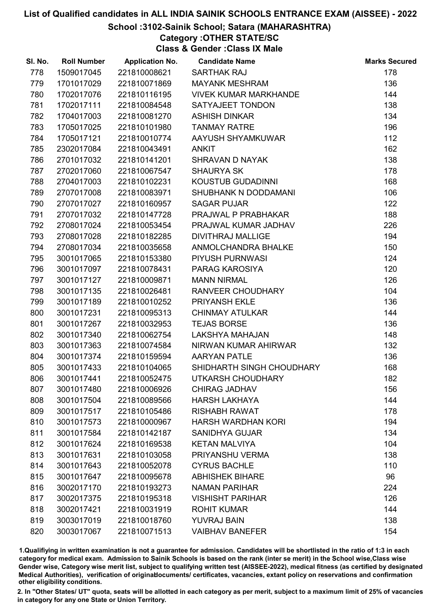# School :3102-Sainik School; Satara (MAHARASHTRA)

# Category :OTHER STATE/SC

Class & Gender :Class IX Male

| SI. No. | <b>Roll Number</b> | <b>Application No.</b> | <b>Candidate Name</b>        | <b>Marks Secured</b> |
|---------|--------------------|------------------------|------------------------------|----------------------|
| 778     | 1509017045         | 221810008621           | <b>SARTHAK RAJ</b>           | 178                  |
| 779     | 1701017029         | 221810071869           | <b>MAYANK MESHRAM</b>        | 136                  |
| 780     | 1702017076         | 221810116195           | <b>VIVEK KUMAR MARKHANDE</b> | 144                  |
| 781     | 1702017111         | 221810084548           | SATYAJEET TONDON             | 138                  |
| 782     | 1704017003         | 221810081270           | <b>ASHISH DINKAR</b>         | 134                  |
| 783     | 1705017025         | 221810101980           | <b>TANMAY RATRE</b>          | 196                  |
| 784     | 1705017121         | 221810010774           | AAYUSH SHYAMKUWAR            | 112                  |
| 785     | 2302017084         | 221810043491           | <b>ANKIT</b>                 | 162                  |
| 786     | 2701017032         | 221810141201           | <b>SHRAVAN D NAYAK</b>       | 138                  |
| 787     | 2702017060         | 221810067547           | <b>SHAURYA SK</b>            | 178                  |
| 788     | 2704017003         | 221810102231           | KOUSTUB GUDADINNI            | 168                  |
| 789     | 2707017008         | 221810083971           | SHUBHANK N DODDAMANI         | 106                  |
| 790     | 2707017027         | 221810160957           | <b>SAGAR PUJAR</b>           | 122                  |
| 791     | 2707017032         | 221810147728           | PRAJWAL P PRABHAKAR          | 188                  |
| 792     | 2708017024         | 221810053454           | PRAJWAL KUMAR JADHAV         | 226                  |
| 793     | 2708017028         | 221810182285           | <b>DIVITHRAJ MALLIGE</b>     | 194                  |
| 794     | 2708017034         | 221810035658           | ANMOLCHANDRA BHALKE          | 150                  |
| 795     | 3001017065         | 221810153380           | PIYUSH PURNWASI              | 124                  |
| 796     | 3001017097         | 221810078431           | PARAG KAROSIYA               | 120                  |
| 797     | 3001017127         | 221810009871           | <b>MANN NIRMAL</b>           | 126                  |
| 798     | 3001017135         | 221810026481           | RANVEER CHOUDHARY            | 104                  |
| 799     | 3001017189         | 221810010252           | PRIYANSH EKLE                | 136                  |
| 800     | 3001017231         | 221810095313           | <b>CHINMAY ATULKAR</b>       | 144                  |
| 801     | 3001017267         | 221810032953           | <b>TEJAS BORSE</b>           | 136                  |
| 802     | 3001017340         | 221810062754           | LAKSHYA MAHAJAN              | 148                  |
| 803     | 3001017363         | 221810074584           | NIRWAN KUMAR AHIRWAR         | 132                  |
| 804     | 3001017374         | 221810159594           | <b>AARYAN PATLE</b>          | 136                  |
| 805     | 3001017433         | 221810104065           | SHIDHARTH SINGH CHOUDHARY    | 168                  |
| 806     | 3001017441         | 221810052475           | <b>UTKARSH CHOUDHARY</b>     | 182                  |
| 807     | 3001017480         | 221810006926           | <b>CHIRAG JADHAV</b>         | 156                  |
| 808     | 3001017504         | 221810089566           | <b>HARSH LAKHAYA</b>         | 144                  |
| 809     | 3001017517         | 221810105486           | <b>RISHABH RAWAT</b>         | 178                  |
| 810     | 3001017573         | 221810000967           | <b>HARSH WARDHAN KORI</b>    | 194                  |
| 811     | 3001017584         | 221810142187           | <b>SANIDHYA GUJAR</b>        | 134                  |
| 812     | 3001017624         | 221810169538           | <b>KETAN MALVIYA</b>         | 104                  |
| 813     | 3001017631         | 221810103058           | PRIYANSHU VERMA              | 138                  |
| 814     | 3001017643         | 221810052078           | <b>CYRUS BACHLE</b>          | 110                  |
| 815     | 3001017647         | 221810095678           | <b>ABHISHEK BIHARE</b>       | 96                   |
| 816     | 3002017170         | 221810193273           | <b>NAMAN PARIHAR</b>         | 224                  |
| 817     | 3002017375         | 221810195318           | <b>VISHISHT PARIHAR</b>      | 126                  |
| 818     | 3002017421         | 221810031919           | <b>ROHIT KUMAR</b>           | 144                  |
| 819     | 3003017019         | 221810018760           | <b>YUVRAJ BAIN</b>           | 138                  |
| 820     | 3003017067         | 221810071513           | <b>VAIBHAV BANEFER</b>       | 154                  |

1.Qualifiying in written examination is not a guarantee for admission. Candidates will be shortlisted in the ratio of 1:3 in each category for medical exam. Admission to Sainik Schools is based on the rank (inter se merit) in the School wise,Class wise Gender wise, Category wise merit list, subject to qualifying written test (AISSEE-2022), medical fitness (as certified by designated Medical Authorities), verification of originablocuments/ certificates, vacancies, extant policy on reservations and confirmation other eligibility conditions.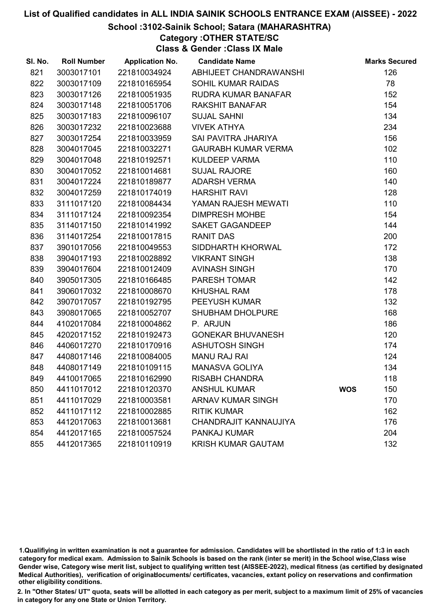#### School :3102-Sainik School; Satara (MAHARASHTRA)

Category :OTHER STATE/SC

Class & Gender :Class IX Male

| SI. No. | <b>Roll Number</b> | <b>Application No.</b> | <b>Candidate Name</b>      |            | <b>Marks Secured</b> |
|---------|--------------------|------------------------|----------------------------|------------|----------------------|
| 821     | 3003017101         | 221810034924           | ABHIJEET CHANDRAWANSHI     |            | 126                  |
| 822     | 3003017109         | 221810165954           | <b>SOHIL KUMAR RAIDAS</b>  |            | 78                   |
| 823     | 3003017126         | 221810051935           | RUDRA KUMAR BANAFAR        |            | 152                  |
| 824     | 3003017148         | 221810051706           | <b>RAKSHIT BANAFAR</b>     |            | 154                  |
| 825     | 3003017183         | 221810096107           | <b>SUJAL SAHNI</b>         |            | 134                  |
| 826     | 3003017232         | 221810023688           | <b>VIVEK ATHYA</b>         |            | 234                  |
| 827     | 3003017254         | 221810033959           | SAI PAVITRA JHARIYA        |            | 156                  |
| 828     | 3004017045         | 221810032271           | <b>GAURABH KUMAR VERMA</b> |            | 102                  |
| 829     | 3004017048         | 221810192571           | <b>KULDEEP VARMA</b>       |            | 110                  |
| 830     | 3004017052         | 221810014681           | <b>SUJAL RAJORE</b>        |            | 160                  |
| 831     | 3004017224         | 221810189877           | ADARSH VERMA               |            | 140                  |
| 832     | 3004017259         | 221810174019           | <b>HARSHIT RAVI</b>        |            | 128                  |
| 833     | 3111017120         | 221810084434           | YAMAN RAJESH MEWATI        |            | 110                  |
| 834     | 3111017124         | 221810092354           | <b>DIMPRESH MOHBE</b>      |            | 154                  |
| 835     | 3114017150         | 221810141992           | SAKET GAGANDEEP            |            | 144                  |
| 836     | 3114017254         | 221810017815           | <b>RANIT DAS</b>           |            | 200                  |
| 837     | 3901017056         | 221810049553           | SIDDHARTH KHORWAL          |            | 172                  |
| 838     | 3904017193         | 221810028892           | <b>VIKRANT SINGH</b>       |            | 138                  |
| 839     | 3904017604         | 221810012409           | <b>AVINASH SINGH</b>       |            | 170                  |
| 840     | 3905017305         | 221810166485           | <b>PARESH TOMAR</b>        |            | 142                  |
| 841     | 3906017032         | 221810008670           | <b>KHUSHAL RAM</b>         |            | 178                  |
| 842     | 3907017057         | 221810192795           | PEEYUSH KUMAR              |            | 132                  |
| 843     | 3908017065         | 221810052707           | SHUBHAM DHOLPURE           |            | 168                  |
| 844     | 4102017084         | 221810004862           | P. ARJUN                   |            | 186                  |
| 845     | 4202017152         | 221810192473           | <b>GONEKAR BHUVANESH</b>   |            | 120                  |
| 846     | 4406017270         | 221810170916           | <b>ASHUTOSH SINGH</b>      |            | 174                  |
| 847     | 4408017146         | 221810084005           | <b>MANU RAJ RAI</b>        |            | 124                  |
| 848     | 4408017149         | 221810109115           | <b>MANASVA GOLIYA</b>      |            | 134                  |
| 849     | 4410017065         | 221810162990           | <b>RISABH CHANDRA</b>      |            | 118                  |
| 850     | 4411017012         | 221810120370           | <b>ANSHUL KUMAR</b>        | <b>WOS</b> | 150                  |
| 851     | 4411017029         | 221810003581           | <b>ARNAV KUMAR SINGH</b>   |            | 170                  |
| 852     | 4411017112         | 221810002885           | <b>RITIK KUMAR</b>         |            | 162                  |
| 853     | 4412017063         | 221810013681           | CHANDRAJIT KANNAUJIYA      |            | 176                  |
| 854     | 4412017165         | 221810057524           | <b>PANKAJ KUMAR</b>        |            | 204                  |
| 855     | 4412017365         | 221810110919           | <b>KRISH KUMAR GAUTAM</b>  |            | 132                  |

1.Qualifiying in written examination is not a guarantee for admission. Candidates will be shortlisted in the ratio of 1:3 in each category for medical exam. Admission to Sainik Schools is based on the rank (inter se merit) in the School wise,Class wise Gender wise, Category wise merit list, subject to qualifying written test (AISSEE-2022), medical fitness (as certified by designated Medical Authorities), verification of originablocuments/ certificates, vacancies, extant policy on reservations and confirmation other eligibility conditions.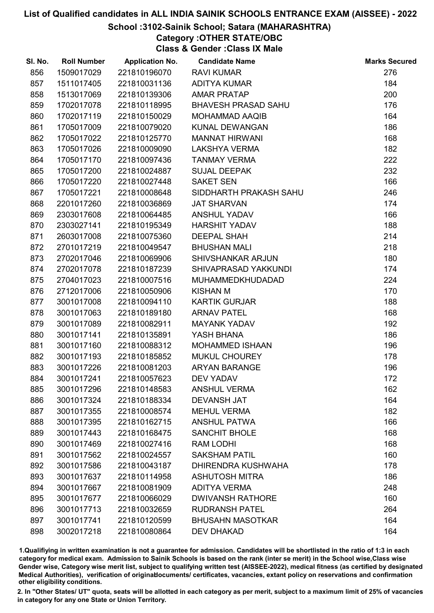# School :3102-Sainik School; Satara (MAHARASHTRA)

Category :OTHER STATE/OBC

Class & Gender :Class IX Male

| SI. No. | <b>Roll Number</b> | <b>Application No.</b> | <b>Candidate Name</b>      | <b>Marks Secured</b> |
|---------|--------------------|------------------------|----------------------------|----------------------|
| 856     | 1509017029         | 221810196070           | <b>RAVI KUMAR</b>          | 276                  |
| 857     | 1511017405         | 221810031136           | <b>ADITYA KUMAR</b>        | 184                  |
| 858     | 1513017069         | 221810139306           | <b>AMAR PRATAP</b>         | 200                  |
| 859     | 1702017078         | 221810118995           | <b>BHAVESH PRASAD SAHU</b> | 176                  |
| 860     | 1702017119         | 221810150029           | <b>MOHAMMAD AAQIB</b>      | 164                  |
| 861     | 1705017009         | 221810079020           | KUNAL DEWANGAN             | 186                  |
| 862     | 1705017022         | 221810125770           | <b>MANNAT HIRWANI</b>      | 168                  |
| 863     | 1705017026         | 221810009090           | <b>LAKSHYA VERMA</b>       | 182                  |
| 864     | 1705017170         | 221810097436           | <b>TANMAY VERMA</b>        | 222                  |
| 865     | 1705017200         | 221810024887           | <b>SUJAL DEEPAK</b>        | 232                  |
| 866     | 1705017220         | 221810027448           | <b>SAKET SEN</b>           | 166                  |
| 867     | 1705017221         | 221810008648           | SIDDHARTH PRAKASH SAHU     | 246                  |
| 868     | 2201017260         | 221810036869           | <b>JAT SHARVAN</b>         | 174                  |
| 869     | 2303017608         | 221810064485           | <b>ANSHUL YADAV</b>        | 166                  |
| 870     | 2303027141         | 221810195349           | <b>HARSHIT YADAV</b>       | 188                  |
| 871     | 2603017008         | 221810075360           | <b>DEEPAL SHAH</b>         | 214                  |
| 872     | 2701017219         | 221810049547           | <b>BHUSHAN MALI</b>        | 218                  |
| 873     | 2702017046         | 221810069906           | <b>SHIVSHANKAR ARJUN</b>   | 180                  |
| 874     | 2702017078         | 221810187239           | SHIVAPRASAD YAKKUNDI       | 174                  |
| 875     | 2704017023         | 221810007516           | <b>MUHAMMEDKHUDADAD</b>    | 224                  |
| 876     | 2712017006         | 221810050906           | <b>KISHAN M</b>            | 170                  |
| 877     | 3001017008         | 221810094110           | <b>KARTIK GURJAR</b>       | 188                  |
| 878     | 3001017063         | 221810189180           | <b>ARNAV PATEL</b>         | 168                  |
| 879     | 3001017089         | 221810082911           | <b>MAYANK YADAV</b>        | 192                  |
| 880     | 3001017141         | 221810135891           | YASH BHANA                 | 186                  |
| 881     | 3001017160         | 221810088312           | <b>MOHAMMED ISHAAN</b>     | 196                  |
| 882     | 3001017193         | 221810185852           | MUKUL CHOUREY              | 178                  |
| 883     | 3001017226         | 221810081203           | <b>ARYAN BARANGE</b>       | 196                  |
| 884     | 3001017241         | 221810057623           | <b>DEV YADAV</b>           | 172                  |
| 885     | 3001017296         | 221810148583           | <b>ANSHUL VERMA</b>        | 162                  |
| 886     | 3001017324         | 221810188334           | <b>DEVANSH JAT</b>         | 164                  |
| 887     | 3001017355         | 221810008574           | <b>MEHUL VERMA</b>         | 182                  |
| 888     | 3001017395         | 221810162715           | <b>ANSHUL PATWA</b>        | 166                  |
| 889     | 3001017443         | 221810168475           | <b>SANCHIT BHOLE</b>       | 168                  |
| 890     | 3001017469         | 221810027416           | RAM LODHI                  | 168                  |
| 891     | 3001017562         | 221810024557           | <b>SAKSHAM PATIL</b>       | 160                  |
| 892     | 3001017586         | 221810043187           | DHIRENDRA KUSHWAHA         | 178                  |
| 893     | 3001017637         | 221810114958           | <b>ASHUTOSH MITRA</b>      | 186                  |
| 894     | 3001017667         | 221810081909           | <b>ADITYA VERMA</b>        | 248                  |
| 895     | 3001017677         | 221810066029           | <b>DWIVANSH RATHORE</b>    | 160                  |
| 896     | 3001017713         | 221810032659           | <b>RUDRANSH PATEL</b>      | 264                  |
| 897     | 3001017741         | 221810120599           | <b>BHUSAHN MASOTKAR</b>    | 164                  |
| 898     | 3002017218         | 221810080864           | <b>DEV DHAKAD</b>          | 164                  |

1.Qualifiying in written examination is not a guarantee for admission. Candidates will be shortlisted in the ratio of 1:3 in each category for medical exam. Admission to Sainik Schools is based on the rank (inter se merit) in the School wise,Class wise Gender wise, Category wise merit list, subject to qualifying written test (AISSEE-2022), medical fitness (as certified by designated Medical Authorities), verification of originablocuments/ certificates, vacancies, extant policy on reservations and confirmation other eligibility conditions.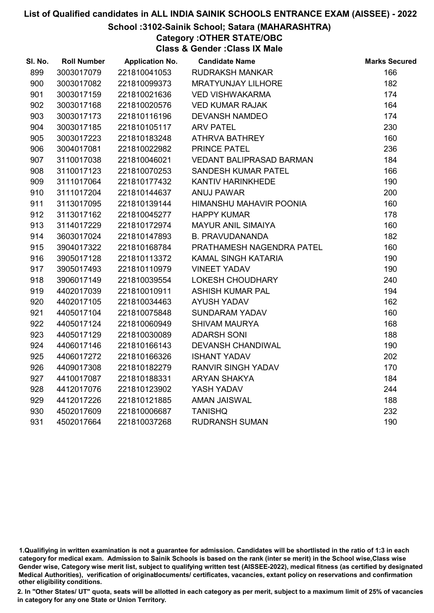## School :3102-Sainik School; Satara (MAHARASHTRA)

Category :OTHER STATE/OBC

Class & Gender :Class IX Male

| SI. No. | <b>Roll Number</b> | <b>Application No.</b> | <b>Candidate Name</b>           | <b>Marks Secured</b> |
|---------|--------------------|------------------------|---------------------------------|----------------------|
| 899     | 3003017079         | 221810041053           | <b>RUDRAKSH MANKAR</b>          | 166                  |
| 900     | 3003017082         | 221810099373           | <b>MRATYUNJAY LILHORE</b>       | 182                  |
| 901     | 3003017159         | 221810021636           | <b>VED VISHWAKARMA</b>          | 174                  |
| 902     | 3003017168         | 221810020576           | <b>VED KUMAR RAJAK</b>          | 164                  |
| 903     | 3003017173         | 221810116196           | <b>DEVANSH NAMDEO</b>           | 174                  |
| 904     | 3003017185         | 221810105117           | <b>ARV PATEL</b>                | 230                  |
| 905     | 3003017223         | 221810183248           | <b>ATHRVA BATHREY</b>           | 160                  |
| 906     | 3004017081         | 221810022982           | PRINCE PATEL                    | 236                  |
| 907     | 3110017038         | 221810046021           | <b>VEDANT BALIPRASAD BARMAN</b> | 184                  |
| 908     | 3110017123         | 221810070253           | <b>SANDESH KUMAR PATEL</b>      | 166                  |
| 909     | 3111017064         | 221810177432           | KANTIV HARINKHEDE               | 190                  |
| 910     | 3111017204         | 221810144637           | <b>ANUJ PAWAR</b>               | 200                  |
| 911     | 3113017095         | 221810139144           | HIMANSHU MAHAVIR POONIA         | 160                  |
| 912     | 3113017162         | 221810045277           | <b>HAPPY KUMAR</b>              | 178                  |
| 913     | 3114017229         | 221810172974           | <b>MAYUR ANIL SIMAIYA</b>       | 160                  |
| 914     | 3603017024         | 221810147893           | <b>B. PRAVUDANANDA</b>          | 182                  |
| 915     | 3904017322         | 221810168784           | PRATHAMESH NAGENDRA PATEL       | 160                  |
| 916     | 3905017128         | 221810113372           | KAMAL SINGH KATARIA             | 190                  |
| 917     | 3905017493         | 221810110979           | <b>VINEET YADAV</b>             | 190                  |
| 918     | 3906017149         | 221810039554           | <b>LOKESH CHOUDHARY</b>         | 240                  |
| 919     | 4402017039         | 221810010911           | <b>ASHISH KUMAR PAL</b>         | 194                  |
| 920     | 4402017105         | 221810034463           | <b>AYUSH YADAV</b>              | 162                  |
| 921     | 4405017104         | 221810075848           | <b>SUNDARAM YADAV</b>           | 160                  |
| 922     | 4405017124         | 221810060949           | <b>SHIVAM MAURYA</b>            | 168                  |
| 923     | 4405017129         | 221810030089           | <b>ADARSH SONI</b>              | 188                  |
| 924     | 4406017146         | 221810166143           | <b>DEVANSH CHANDIWAL</b>        | 190                  |
| 925     | 4406017272         | 221810166326           | <b>ISHANT YADAV</b>             | 202                  |
| 926     | 4409017308         | 221810182279           | <b>RANVIR SINGH YADAV</b>       | 170                  |
| 927     | 4410017087         | 221810188331           | <b>ARYAN SHAKYA</b>             | 184                  |
| 928     | 4412017076         | 221810123902           | YASH YADAV                      | 244                  |
| 929     | 4412017226         | 221810121885           | <b>AMAN JAISWAL</b>             | 188                  |
| 930     | 4502017609         | 221810006687           | <b>TANISHQ</b>                  | 232                  |
| 931     | 4502017664         | 221810037268           | <b>RUDRANSH SUMAN</b>           | 190                  |

<sup>1.</sup>Qualifiying in written examination is not a guarantee for admission. Candidates will be shortlisted in the ratio of 1:3 in each category for medical exam. Admission to Sainik Schools is based on the rank (inter se merit) in the School wise,Class wise Gender wise, Category wise merit list, subject to qualifying written test (AISSEE-2022), medical fitness (as certified by designated Medical Authorities), verification of originablocuments/ certificates, vacancies, extant policy on reservations and confirmation other eligibility conditions.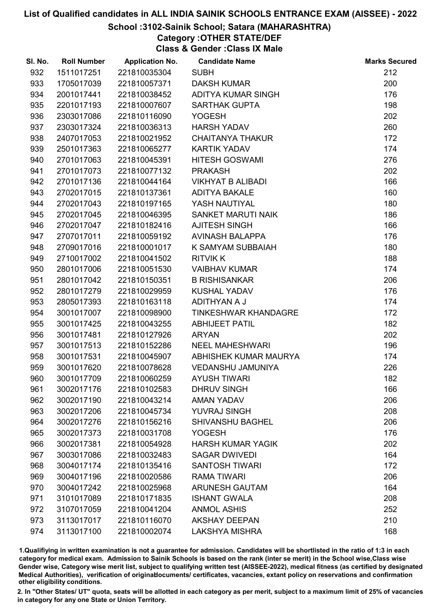#### School :3102-Sainik School; Satara (MAHARASHTRA)

# Category :OTHER STATE/DEF

Class & Gender :Class IX Male

| SI. No. | <b>Roll Number</b> | <b>Application No.</b> | <b>Candidate Name</b>       | <b>Marks Secured</b> |
|---------|--------------------|------------------------|-----------------------------|----------------------|
| 932     | 1511017251         | 221810035304           | <b>SUBH</b>                 | 212                  |
| 933     | 1705017039         | 221810057371           | <b>DAKSH KUMAR</b>          | 200                  |
| 934     | 2001017441         | 221810038452           | ADITYA KUMAR SINGH          | 176                  |
| 935     | 2201017193         | 221810007607           | <b>SARTHAK GUPTA</b>        | 198                  |
| 936     | 2303017086         | 221810116090           | <b>YOGESH</b>               | 202                  |
| 937     | 2303017324         | 221810036313           | <b>HARSH YADAV</b>          | 260                  |
| 938     | 2407017053         | 221810021952           | <b>CHAITANYA THAKUR</b>     | 172                  |
| 939     | 2501017363         | 221810065277           | <b>KARTIK YADAV</b>         | 174                  |
| 940     | 2701017063         | 221810045391           | <b>HITESH GOSWAMI</b>       | 276                  |
| 941     | 2701017073         | 221810077132           | <b>PRAKASH</b>              | 202                  |
| 942     | 2701017136         | 221810044164           | <b>VIKHYAT B ALIBADI</b>    | 166                  |
| 943     | 2702017015         | 221810137361           | <b>ADITYA BAKALE</b>        | 160                  |
| 944     | 2702017043         | 221810197165           | YASH NAUTIYAL               | 180                  |
| 945     | 2702017045         | 221810046395           | <b>SANKET MARUTI NAIK</b>   | 186                  |
| 946     | 2702017047         | 221810182416           | <b>AJITESH SINGH</b>        | 166                  |
| 947     | 2707017011         | 221810059192           | <b>AVINASH BALAPPA</b>      | 176                  |
| 948     | 2709017016         | 221810001017           | K SAMYAM SUBBAIAH           | 180                  |
| 949     | 2710017002         | 221810041502           | <b>RITVIKK</b>              | 188                  |
| 950     | 2801017006         | 221810051530           | <b>VAIBHAV KUMAR</b>        | 174                  |
| 951     | 2801017042         | 221810150351           | <b>B RISHISANKAR</b>        | 206                  |
| 952     | 2801017279         | 221810029959           | <b>KUSHAL YADAV</b>         | 176                  |
| 953     | 2805017393         | 221810163118           | ADITHYAN A J                | 174                  |
| 954     | 3001017007         | 221810098900           | <b>TINKESHWAR KHANDAGRE</b> | 172                  |
| 955     | 3001017425         | 221810043255           | <b>ABHIJEET PATIL</b>       | 182                  |
| 956     | 3001017481         | 221810127926           | <b>ARYAN</b>                | 202                  |
| 957     | 3001017513         | 221810152286           | <b>NEEL MAHESHWARI</b>      | 196                  |
| 958     | 3001017531         | 221810045907           | ABHISHEK KUMAR MAURYA       | 174                  |
| 959     | 3001017620         | 221810078628           | <b>VEDANSHU JAMUNIYA</b>    | 226                  |
| 960     | 3001017709         | 221810060259           | <b>AYUSH TIWARI</b>         | 182                  |
| 961     | 3002017176         | 221810102583           | <b>DHRUV SINGH</b>          | 166                  |
| 962     | 3002017190         | 221810043214           | <b>AMAN YADAV</b>           | 206                  |
| 963     | 3002017206         | 221810045734           | <b>YUVRAJ SINGH</b>         | 208                  |
| 964     | 3002017276         | 221810156216           | <b>SHIVANSHU BAGHEL</b>     | 206                  |
| 965     | 3002017373         | 221810031708           | <b>YOGESH</b>               | 176                  |
| 966     | 3002017381         | 221810054928           | <b>HARSH KUMAR YAGIK</b>    | 202                  |
| 967     | 3003017086         | 221810032483           | <b>SAGAR DWIVEDI</b>        | 164                  |
| 968     | 3004017174         | 221810135416           | <b>SANTOSH TIWARI</b>       | 172                  |
| 969     | 3004017196         | 221810020586           | <b>RAMA TIWARI</b>          | 206                  |
| 970     | 3004017242         | 221810025968           | <b>ARUNESH GAUTAM</b>       | 164                  |
| 971     | 3101017089         | 221810171835           | <b>ISHANT GWALA</b>         | 208                  |
| 972     | 3107017059         | 221810041204           | <b>ANMOL ASHIS</b>          | 252                  |
| 973     | 3113017017         | 221810116070           | <b>AKSHAY DEEPAN</b>        | 210                  |
| 974     | 3113017100         | 221810002074           | <b>LAKSHYA MISHRA</b>       | 168                  |

1.Qualifiying in written examination is not a guarantee for admission. Candidates will be shortlisted in the ratio of 1:3 in each category for medical exam. Admission to Sainik Schools is based on the rank (inter se merit) in the School wise,Class wise Gender wise, Category wise merit list, subject to qualifying written test (AISSEE-2022), medical fitness (as certified by designated Medical Authorities), verification of originablocuments/ certificates, vacancies, extant policy on reservations and confirmation other eligibility conditions.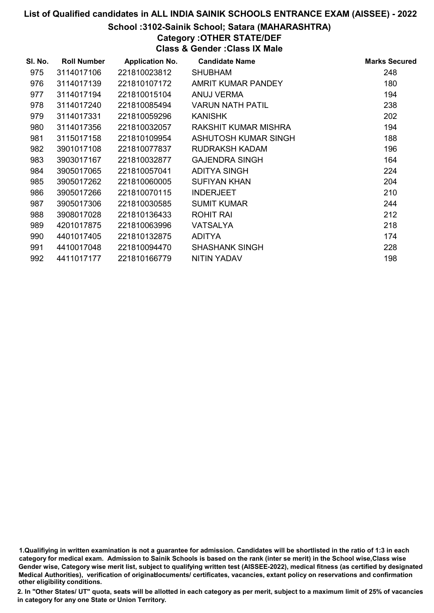### School :3102-Sainik School; Satara (MAHARASHTRA)

# Category :OTHER STATE/DEF

Class & Gender :Class IX Male

| SI. No. | <b>Roll Number</b> | <b>Application No.</b> | <b>Candidate Name</b>   | <b>Marks Secured</b> |
|---------|--------------------|------------------------|-------------------------|----------------------|
| 975     | 3114017106         | 221810023812           | <b>SHUBHAM</b>          | 248                  |
| 976     | 3114017139         | 221810107172           | AMRIT KUMAR PANDEY      | 180                  |
| 977     | 3114017194         | 221810015104           | ANUJ VERMA              | 194                  |
| 978     | 3114017240         | 221810085494           | <b>VARUN NATH PATIL</b> | 238                  |
| 979     | 3114017331         | 221810059296           | <b>KANISHK</b>          | 202                  |
| 980     | 3114017356         | 221810032057           | RAKSHIT KUMAR MISHRA    | 194                  |
| 981     | 3115017158         | 221810109954           | ASHUTOSH KUMAR SINGH    | 188                  |
| 982     | 3901017108         | 221810077837           | <b>RUDRAKSH KADAM</b>   | 196                  |
| 983     | 3903017167         | 221810032877           | <b>GAJENDRA SINGH</b>   | 164                  |
| 984     | 3905017065         | 221810057041           | <b>ADITYA SINGH</b>     | 224                  |
| 985     | 3905017262         | 221810060005           | <b>SUFIYAN KHAN</b>     | 204                  |
| 986     | 3905017266         | 221810070115           | <b>INDERJEET</b>        | 210                  |
| 987     | 3905017306         | 221810030585           | <b>SUMIT KUMAR</b>      | 244                  |
| 988     | 3908017028         | 221810136433           | <b>ROHIT RAI</b>        | 212                  |
| 989     | 4201017875         | 221810063996           | <b>VATSALYA</b>         | 218                  |
| 990     | 4401017405         | 221810132875           | <b>ADITYA</b>           | 174                  |
| 991     | 4410017048         | 221810094470           | <b>SHASHANK SINGH</b>   | 228                  |
| 992     | 4411017177         | 221810166779           | <b>NITIN YADAV</b>      | 198                  |

1.Qualifiying in written examination is not a guarantee for admission. Candidates will be shortlisted in the ratio of 1:3 in each category for medical exam. Admission to Sainik Schools is based on the rank (inter se merit) in the School wise,Class wise Gender wise, Category wise merit list, subject to qualifying written test (AISSEE-2022), medical fitness (as certified by designated Medical Authorities), verification of originablocuments/ certificates, vacancies, extant policy on reservations and confirmation other eligibility conditions.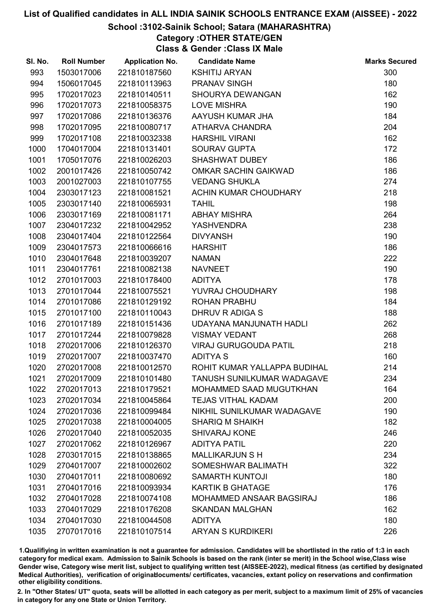# School :3102-Sainik School; Satara (MAHARASHTRA)

Category :OTHER STATE/GEN

Class & Gender :Class IX Male

| SI. No. | <b>Roll Number</b> | <b>Application No.</b> | <b>Candidate Name</b>           | <b>Marks Secured</b> |
|---------|--------------------|------------------------|---------------------------------|----------------------|
| 993     | 1503017006         | 221810187560           | <b>KSHITIJ ARYAN</b>            | 300                  |
| 994     | 1506017045         | 221810113963           | <b>PRANAV SINGH</b>             | 180                  |
| 995     | 1702017023         | 221810140511           | SHOURYA DEWANGAN                | 162                  |
| 996     | 1702017073         | 221810058375           | <b>LOVE MISHRA</b>              | 190                  |
| 997     | 1702017086         | 221810136376           | AAYUSH KUMAR JHA                | 184                  |
| 998     | 1702017095         | 221810080717           | ATHARVA CHANDRA                 | 204                  |
| 999     | 1702017108         | 221810032338           | <b>HARSHIL VIRANI</b>           | 162                  |
| 1000    | 1704017004         | 221810131401           | <b>SOURAV GUPTA</b>             | 172                  |
| 1001    | 1705017076         | 221810026203           | <b>SHASHWAT DUBEY</b>           | 186                  |
| 1002    | 2001017426         | 221810050742           | <b>OMKAR SACHIN GAIKWAD</b>     | 186                  |
| 1003    | 2001027003         | 221810107755           | <b>VEDANG SHUKLA</b>            | 274                  |
| 1004    | 2303017123         | 221810081521           | ACHIN KUMAR CHOUDHARY           | 218                  |
| 1005    | 2303017140         | 221810065931           | <b>TAHIL</b>                    | 198                  |
| 1006    | 2303017169         | 221810081171           | <b>ABHAY MISHRA</b>             | 264                  |
| 1007    | 2304017232         | 221810042952           | <b>YASHVENDRA</b>               | 238                  |
| 1008    | 2304017404         | 221810122564           | <b>DIVYANSH</b>                 | 190                  |
| 1009    | 2304017573         | 221810066616           | <b>HARSHIT</b>                  | 186                  |
| 1010    | 2304017648         | 221810039207           | <b>NAMAN</b>                    | 222                  |
| 1011    | 2304017761         | 221810082138           | <b>NAVNEET</b>                  | 190                  |
| 1012    | 2701017003         | 221810178400           | <b>ADITYA</b>                   | 178                  |
| 1013    | 2701017044         | 221810075521           | YUVRAJ CHOUDHARY                | 198                  |
| 1014    | 2701017086         | 221810129192           | <b>ROHAN PRABHU</b>             | 184                  |
| 1015    | 2701017100         | 221810110043           | DHRUV R ADIGA S                 | 188                  |
| 1016    | 2701017189         | 221810151436           | UDAYANA MANJUNATH HADLI         | 262                  |
| 1017    | 2701017244         | 221810079828           | <b>VISMAY VEDANT</b>            | 268                  |
| 1018    | 2702017006         | 221810126370           | <b>VIRAJ GURUGOUDA PATIL</b>    | 218                  |
| 1019    | 2702017007         | 221810037470           | <b>ADITYA S</b>                 | 160                  |
| 1020    | 2702017008         | 221810012570           | ROHIT KUMAR YALLAPPA BUDIHAL    | 214                  |
| 1021    | 2702017009         | 221810101480           | TANUSH SUNILKUMAR WADAGAVE      | 234                  |
| 1022    | 2702017013         | 221810179521           | MOHAMMED SAAD MUGUTKHAN         | 164                  |
| 1023    | 2702017034         | 221810045864           | <b>TEJAS VITHAL KADAM</b>       | 200                  |
| 1024    | 2702017036         | 221810099484           | NIKHIL SUNILKUMAR WADAGAVE      | 190                  |
| 1025    | 2702017038         | 221810004005           | <b>SHARIQ M SHAIKH</b>          | 182                  |
| 1026    | 2702017040         | 221810052035           | <b>SHIVARAJ KONE</b>            | 246                  |
| 1027    | 2702017062         | 221810126967           | <b>ADITYA PATIL</b>             | 220                  |
| 1028    | 2703017015         | 221810138865           | <b>MALLIKARJUN S H</b>          | 234                  |
| 1029    | 2704017007         | 221810002602           | SOMESHWAR BALIMATH              | 322                  |
| 1030    | 2704017011         | 221810080692           | <b>SAMARTH KUNTOJI</b>          | 180                  |
| 1031    | 2704017016         | 221810093934           | <b>KARTIK B GHATAGE</b>         | 176                  |
| 1032    | 2704017028         | 221810074108           | <b>MOHAMMED ANSAAR BAGSIRAJ</b> | 186                  |
| 1033    | 2704017029         | 221810176208           | <b>SKANDAN MALGHAN</b>          | 162                  |
| 1034    | 2704017030         | 221810044508           | <b>ADITYA</b>                   | 180                  |
| 1035    | 2707017016         | 221810107514           | <b>ARYAN S KURDIKERI</b>        | 226                  |

1.Qualifiying in written examination is not a guarantee for admission. Candidates will be shortlisted in the ratio of 1:3 in each category for medical exam. Admission to Sainik Schools is based on the rank (inter se merit) in the School wise,Class wise Gender wise, Category wise merit list, subject to qualifying written test (AISSEE-2022), medical fitness (as certified by designated Medical Authorities), verification of originablocuments/ certificates, vacancies, extant policy on reservations and confirmation other eligibility conditions.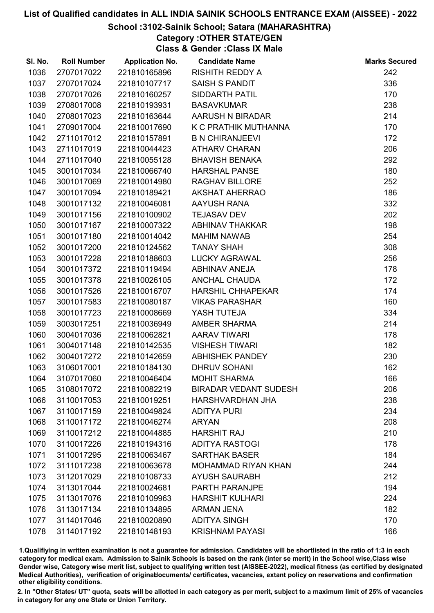#### School :3102-Sainik School; Satara (MAHARASHTRA)

Category :OTHER STATE/GEN

Class & Gender :Class IX Male

| SI. No. | <b>Roll Number</b> | <b>Application No.</b> | <b>Candidate Name</b>        | <b>Marks Secured</b> |
|---------|--------------------|------------------------|------------------------------|----------------------|
| 1036    | 2707017022         | 221810165896           | <b>RISHITH REDDY A</b>       | 242                  |
| 1037    | 2707017024         | 221810107717           | <b>SAISH S PANDIT</b>        | 336                  |
| 1038    | 2707017026         | 221810160257           | <b>SIDDARTH PATIL</b>        | 170                  |
| 1039    | 2708017008         | 221810193931           | <b>BASAVKUMAR</b>            | 238                  |
| 1040    | 2708017023         | 221810163644           | AARUSH N BIRADAR             | 214                  |
| 1041    | 2709017004         | 221810017690           | K C PRATHIK MUTHANNA         | 170                  |
| 1042    | 2711017012         | 221810157891           | <b>B N CHIRANJEEVI</b>       | 172                  |
| 1043    | 2711017019         | 221810044423           | <b>ATHARV CHARAN</b>         | 206                  |
| 1044    | 2711017040         | 221810055128           | <b>BHAVISH BENAKA</b>        | 292                  |
| 1045    | 3001017034         | 221810066740           | <b>HARSHAL PANSE</b>         | 180                  |
| 1046    | 3001017069         | 221810014980           | <b>RAGHAV BILLORE</b>        | 252                  |
| 1047    | 3001017094         | 221810189421           | <b>AKSHAT AHERRAO</b>        | 186                  |
| 1048    | 3001017132         | 221810046081           | AAYUSH RANA                  | 332                  |
| 1049    | 3001017156         | 221810100902           | <b>TEJASAV DEV</b>           | 202                  |
| 1050    | 3001017167         | 221810007322           | <b>ABHINAV THAKKAR</b>       | 198                  |
| 1051    | 3001017180         | 221810014042           | <b>MAHIM NAWAB</b>           | 254                  |
| 1052    | 3001017200         | 221810124562           | <b>TANAY SHAH</b>            | 308                  |
| 1053    | 3001017228         | 221810188603           | <b>LUCKY AGRAWAL</b>         | 256                  |
| 1054    | 3001017372         | 221810119494           | <b>ABHINAV ANEJA</b>         | 178                  |
| 1055    | 3001017378         | 221810026105           | <b>ANCHAL CHAUDA</b>         | 172                  |
| 1056    | 3001017526         | 221810016707           | <b>HARSHIL CHHAPEKAR</b>     | 174                  |
| 1057    | 3001017583         | 221810080187           | <b>VIKAS PARASHAR</b>        | 160                  |
| 1058    | 3001017723         | 221810008669           | YASH TUTEJA                  | 334                  |
| 1059    | 3003017251         | 221810036949           | AMBER SHARMA                 | 214                  |
| 1060    | 3004017036         | 221810062821           | <b>AARAV TIWARI</b>          | 178                  |
| 1061    | 3004017148         | 221810142535           | <b>VISHESH TIWARI</b>        | 182                  |
| 1062    | 3004017272         | 221810142659           | <b>ABHISHEK PANDEY</b>       | 230                  |
| 1063    | 3106017001         | 221810184130           | <b>DHRUV SOHANI</b>          | 162                  |
| 1064    | 3107017060         | 221810046404           | <b>MOHIT SHARMA</b>          | 166                  |
| 1065    | 3108017072         | 221810082219           | <b>BIRADAR VEDANT SUDESH</b> | 206                  |
| 1066    | 3110017053         | 221810019251           | HARSHVARDHAN JHA             | 238                  |
| 1067    | 3110017159         | 221810049824           | <b>ADITYA PURI</b>           | 234                  |
| 1068    | 3110017172         | 221810046274           | <b>ARYAN</b>                 | 208                  |
| 1069    | 3110017212         | 221810044885           | <b>HARSHIT RAJ</b>           | 210                  |
| 1070    | 3110017226         | 221810194316           | <b>ADITYA RASTOGI</b>        | 178                  |
| 1071    | 3110017295         | 221810063467           | <b>SARTHAK BASER</b>         | 184                  |
| 1072    | 3111017238         | 221810063678           | <b>MOHAMMAD RIYAN KHAN</b>   | 244                  |
| 1073    | 3112017029         | 221810108733           | <b>AYUSH SAURABH</b>         | 212                  |
| 1074    | 3113017044         | 221810024681           | PARTH PARANJPE               | 194                  |
| 1075    | 3113017076         | 221810109963           | <b>HARSHIT KULHARI</b>       | 224                  |
| 1076    | 3113017134         | 221810134895           | <b>ARMAN JENA</b>            | 182                  |
| 1077    | 3114017046         | 221810020890           | <b>ADITYA SINGH</b>          | 170                  |
| 1078    | 3114017192         | 221810148193           | <b>KRISHNAM PAYASI</b>       | 166                  |

1.Qualifiying in written examination is not a guarantee for admission. Candidates will be shortlisted in the ratio of 1:3 in each category for medical exam. Admission to Sainik Schools is based on the rank (inter se merit) in the School wise,Class wise Gender wise, Category wise merit list, subject to qualifying written test (AISSEE-2022), medical fitness (as certified by designated Medical Authorities), verification of originablocuments/ certificates, vacancies, extant policy on reservations and confirmation other eligibility conditions.